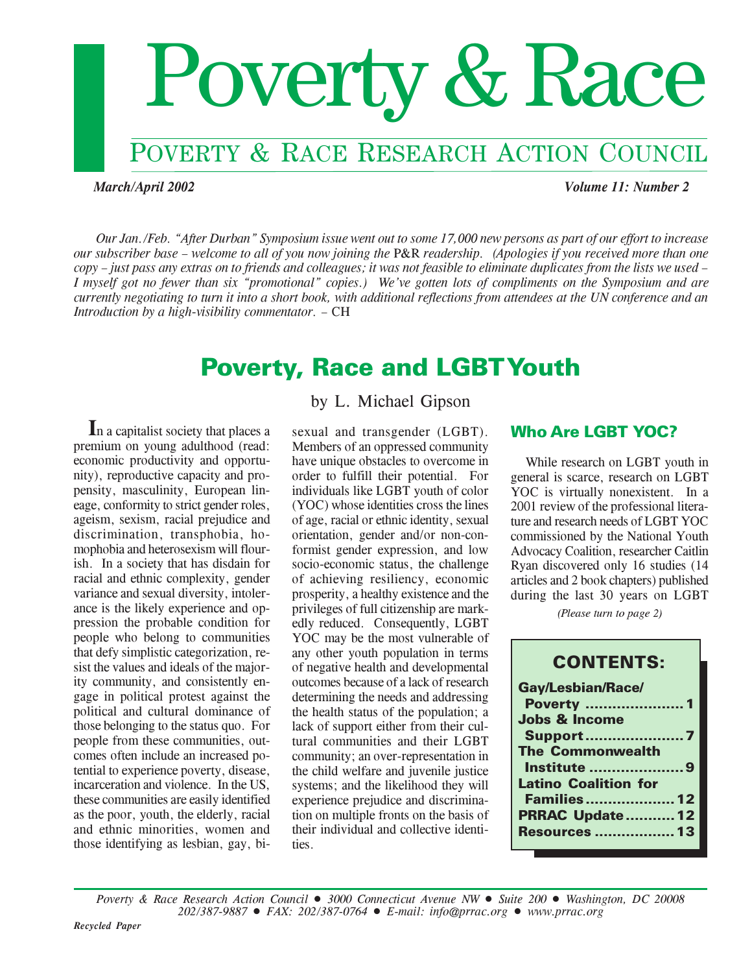# Poverty & Race POVERTY & RACE RESEARCH ACTION COUNCIL

March/April 2002 Volume 11: Number 2

Our Jan./Feb. "After Durban" Symposium issue went out to some 17,000 new persons as part of our effort to increase our subscriber base – welcome to all of you now joining the P&R readership. (Apologies if you received more than one copy – just pass any extras on to friends and colleagues; it was not feasible to eliminate duplicates from the lists we used – I myself got no fewer than six "promotional" copies.) We've gotten lots of compliments on the Symposium and are currently negotiating to turn it into a short book, with additional reflections from attendees at the UN conference and an Introduction by a high-visibility commentator. – CH

# **Poverty, Race and LGBT Youth**

In a capitalist society that places a premium on young adulthood (read: economic productivity and opportunity), reproductive capacity and propensity, masculinity, European lineage, conformity to strict gender roles, ageism, sexism, racial prejudice and discrimination, transphobia, homophobia and heterosexism will flourish. In a society that has disdain for racial and ethnic complexity, gender variance and sexual diversity, intolerance is the likely experience and oppression the probable condition for people who belong to communities that defy simplistic categorization, resist the values and ideals of the majority community, and consistently engage in political protest against the political and cultural dominance of those belonging to the status quo. For people from these communities, outcomes often include an increased potential to experience poverty, disease, incarceration and violence. In the US, these communities are easily identified as the poor, youth, the elderly, racial and ethnic minorities, women and those identifying as lesbian, gay, biby L. Michael Gipson

sexual and transgender (LGBT). Members of an oppressed community have unique obstacles to overcome in order to fulfill their potential. For individuals like LGBT youth of color (YOC) whose identities cross the lines of age, racial or ethnic identity, sexual orientation, gender and/or non-conformist gender expression, and low socio-economic status, the challenge of achieving resiliency, economic prosperity, a healthy existence and the privileges of full citizenship are markedly reduced. Consequently, LGBT YOC may be the most vulnerable of any other youth population in terms of negative health and developmental outcomes because of a lack of research determining the needs and addressing the health status of the population; a lack of support either from their cultural communities and their LGBT community; an over-representation in the child welfare and juvenile justice systems; and the likelihood they will experience prejudice and discrimination on multiple fronts on the basis of their individual and collective identities.

# **Who Are LGBT YOC?**

While research on LGBT youth in general is scarce, research on LGBT YOC is virtually nonexistent. In a 2001 review of the professional literature and research needs of LGBT YOC commissioned by the National Youth Advocacy Coalition, researcher Caitlin Ryan discovered only 16 studies (14 articles and 2 book chapters) published during the last 30 years on LGBT

(Please turn to page 2)

| <b>CONTENTS:</b>            |
|-----------------------------|
| <b>Gay/Lesbian/Race/</b>    |
| <b>Poverty 1</b>            |
| <b>Jobs &amp; Income</b>    |
| <b>Support 7</b>            |
| <b>The Commonwealth</b>     |
| <b>Institute </b> 9         |
| <b>Latino Coalition for</b> |
| <b>Families  12</b>         |
| <b>PRRAC Update  12</b>     |
| <b>Resources  13</b>        |
|                             |

Poverty & Race Research Action Council • 3000 Connecticut Avenue NW • Suite 200 • Washington, DC 20008 202/387-9887 • FAX: 202/387-0764 • E-mail: info@prrac.org • www.prrac.org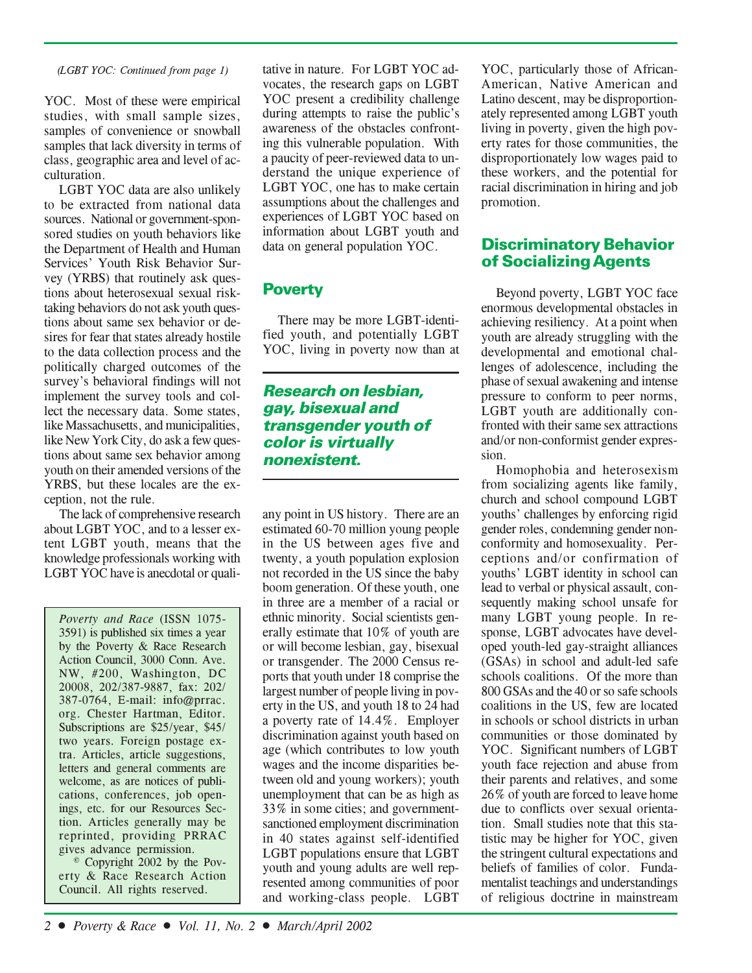#### (LGBT YOC: Continued from page 1)

YOC. Most of these were empirical studies, with small sample sizes, samples of convenience or snowball samples that lack diversity in terms of class, geographic area and level of acculturation.

LGBT YOC data are also unlikely to be extracted from national data sources. National or government-sponsored studies on youth behaviors like the Department of Health and Human Services' Youth Risk Behavior Survey (YRBS) that routinely ask questions about heterosexual sexual risktaking behaviors do not ask youth questions about same sex behavior or desires for fear that states already hostile to the data collection process and the politically charged outcomes of the survey's behavioral findings will not implement the survey tools and collect the necessary data. Some states, like Massachusetts, and municipalities, like New York City, do ask a few questions about same sex behavior among youth on their amended versions of the YRBS, but these locales are the exception, not the rule.

The lack of comprehensive research about LGBT YOC, and to a lesser extent LGBT youth, means that the knowledge professionals working with LGBT YOC have is anecdotal or quali-

Poverty and Race (ISSN 1075- 3591) is published six times a year by the Poverty & Race Research Action Council, 3000 Conn. Ave. NW, #200, Washington, DC 20008, 202/387-9887, fax: 202/ 387-0764, E-mail: info@prrac. org. Chester Hartman, Editor. Subscriptions are \$25/year, \$45/ two years. Foreign postage extra. Articles, article suggestions, letters and general comments are welcome, as are notices of publications, conferences, job openings, etc. for our Resources Section. Articles generally may be reprinted, providing PRRAC gives advance permission.

© Copyright 2002 by the Poverty & Race Research Action Council. All rights reserved.

tative in nature. For LGBT YOC advocates, the research gaps on LGBT YOC present a credibility challenge during attempts to raise the public's awareness of the obstacles confronting this vulnerable population. With a paucity of peer-reviewed data to understand the unique experience of LGBT YOC, one has to make certain assumptions about the challenges and experiences of LGBT YOC based on information about LGBT youth and data on general population YOC.

# **Poverty**

There may be more LGBT-identified youth, and potentially LGBT YOC, living in poverty now than at

## **Research on lesbian, gay, bisexual and transgender youth of color is virtually nonexistent.**

any point in US history. There are an estimated 60-70 million young people in the US between ages five and twenty, a youth population explosion not recorded in the US since the baby boom generation. Of these youth, one in three are a member of a racial or ethnic minority. Social scientists generally estimate that 10% of youth are or will become lesbian, gay, bisexual or transgender. The 2000 Census reports that youth under 18 comprise the largest number of people living in poverty in the US, and youth 18 to 24 had a poverty rate of 14.4%. Employer discrimination against youth based on age (which contributes to low youth wages and the income disparities between old and young workers); youth unemployment that can be as high as 33% in some cities; and governmentsanctioned employment discrimination in 40 states against self-identified LGBT populations ensure that LGBT youth and young adults are well represented among communities of poor and working-class people. LGBT

YOC, particularly those of African-American, Native American and Latino descent, may be disproportionately represented among LGBT youth living in poverty, given the high poverty rates for those communities, the disproportionately low wages paid to these workers, and the potential for racial discrimination in hiring and job promotion.

# **Discriminatory Behavior of Socializing Agents**

Beyond poverty, LGBT YOC face enormous developmental obstacles in achieving resiliency. At a point when youth are already struggling with the developmental and emotional challenges of adolescence, including the phase of sexual awakening and intense pressure to conform to peer norms, LGBT youth are additionally confronted with their same sex attractions and/or non-conformist gender expression.

Homophobia and heterosexism from socializing agents like family, church and school compound LGBT youths' challenges by enforcing rigid gender roles, condemning gender nonconformity and homosexuality. Perceptions and/or confirmation of youths' LGBT identity in school can lead to verbal or physical assault, consequently making school unsafe for many LGBT young people. In response, LGBT advocates have developed youth-led gay-straight alliances (GSAs) in school and adult-led safe schools coalitions. Of the more than 800 GSAs and the 40 or so safe schools coalitions in the US, few are located in schools or school districts in urban communities or those dominated by YOC. Significant numbers of LGBT youth face rejection and abuse from their parents and relatives, and some 26% of youth are forced to leave home due to conflicts over sexual orientation. Small studies note that this statistic may be higher for YOC, given the stringent cultural expectations and beliefs of families of color. Fundamentalist teachings and understandings of religious doctrine in mainstream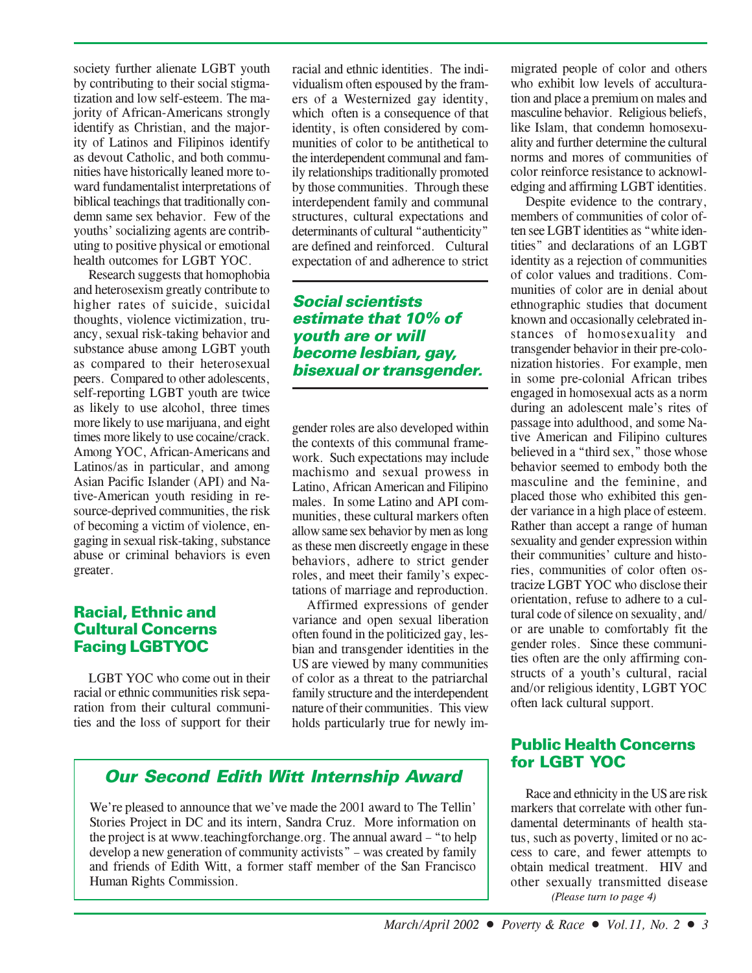society further alienate LGBT youth by contributing to their social stigmatization and low self-esteem. The majority of African-Americans strongly identify as Christian, and the majority of Latinos and Filipinos identify as devout Catholic, and both communities have historically leaned more toward fundamentalist interpretations of biblical teachings that traditionally condemn same sex behavior. Few of the youths' socializing agents are contributing to positive physical or emotional health outcomes for LGBT YOC.

Research suggests that homophobia and heterosexism greatly contribute to higher rates of suicide, suicidal thoughts, violence victimization, truancy, sexual risk-taking behavior and substance abuse among LGBT youth as compared to their heterosexual peers. Compared to other adolescents, self-reporting LGBT youth are twice as likely to use alcohol, three times more likely to use marijuana, and eight times more likely to use cocaine/crack. Among YOC, African-Americans and Latinos/as in particular, and among Asian Pacific Islander (API) and Native-American youth residing in resource-deprived communities, the risk of becoming a victim of violence, engaging in sexual risk-taking, substance abuse or criminal behaviors is even greater.

## **Racial, Ethnic and Cultural Concerns Facing LGBT YOC**

LGBT YOC who come out in their racial or ethnic communities risk separation from their cultural communities and the loss of support for their racial and ethnic identities. The individualism often espoused by the framers of a Westernized gay identity, which often is a consequence of that identity, is often considered by communities of color to be antithetical to the interdependent communal and family relationships traditionally promoted by those communities. Through these interdependent family and communal structures, cultural expectations and determinants of cultural "authenticity" are defined and reinforced. Cultural expectation of and adherence to strict

# **Social scientists estimate that 10% of youth are or will become lesbian, gay, bisexual or transgender.**

gender roles are also developed within the contexts of this communal framework. Such expectations may include machismo and sexual prowess in Latino, African American and Filipino males. In some Latino and API communities, these cultural markers often allow same sex behavior by men as long as these men discreetly engage in these behaviors, adhere to strict gender roles, and meet their family's expectations of marriage and reproduction.

Affirmed expressions of gender variance and open sexual liberation often found in the politicized gay, lesbian and transgender identities in the US are viewed by many communities of color as a threat to the patriarchal family structure and the interdependent nature of their communities. This view holds particularly true for newly im-

# **Our Second Edith Witt Internship Award**

We're pleased to announce that we've made the 2001 award to The Tellin' Stories Project in DC and its intern, Sandra Cruz. More information on the project is at www.teachingforchange.org. The annual award – "to help develop a new generation of community activists" – was created by family and friends of Edith Witt, a former staff member of the San Francisco Human Rights Commission.

migrated people of color and others who exhibit low levels of acculturation and place a premium on males and masculine behavior. Religious beliefs, like Islam, that condemn homosexuality and further determine the cultural norms and mores of communities of color reinforce resistance to acknowledging and affirming LGBT identities.

Despite evidence to the contrary. members of communities of color often see LGBT identities as "white identities" and declarations of an LGBT identity as a rejection of communities of color values and traditions. Communities of color are in denial about ethnographic studies that document known and occasionally celebrated instances of homosexuality and transgender behavior in their pre-colonization histories. For example, men in some pre-colonial African tribes engaged in homosexual acts as a norm during an adolescent male's rites of passage into adulthood, and some Native American and Filipino cultures believed in a "third sex," those whose behavior seemed to embody both the masculine and the feminine, and placed those who exhibited this gender variance in a high place of esteem. Rather than accept a range of human sexuality and gender expression within their communities' culture and histories, communities of color often ostracize LGBT YOC who disclose their orientation, refuse to adhere to a cultural code of silence on sexuality, and/ or are unable to comfortably fit the gender roles. Since these communities often are the only affirming constructs of a youth's cultural, racial and/or religious identity, LGBT YOC often lack cultural support.

# **Public Health Concerns for LGBT YOC**

(Please turn to page 4) Race and ethnicity in the US are risk markers that correlate with other fundamental determinants of health status, such as poverty, limited or no access to care, and fewer attempts to obtain medical treatment. HIV and other sexually transmitted disease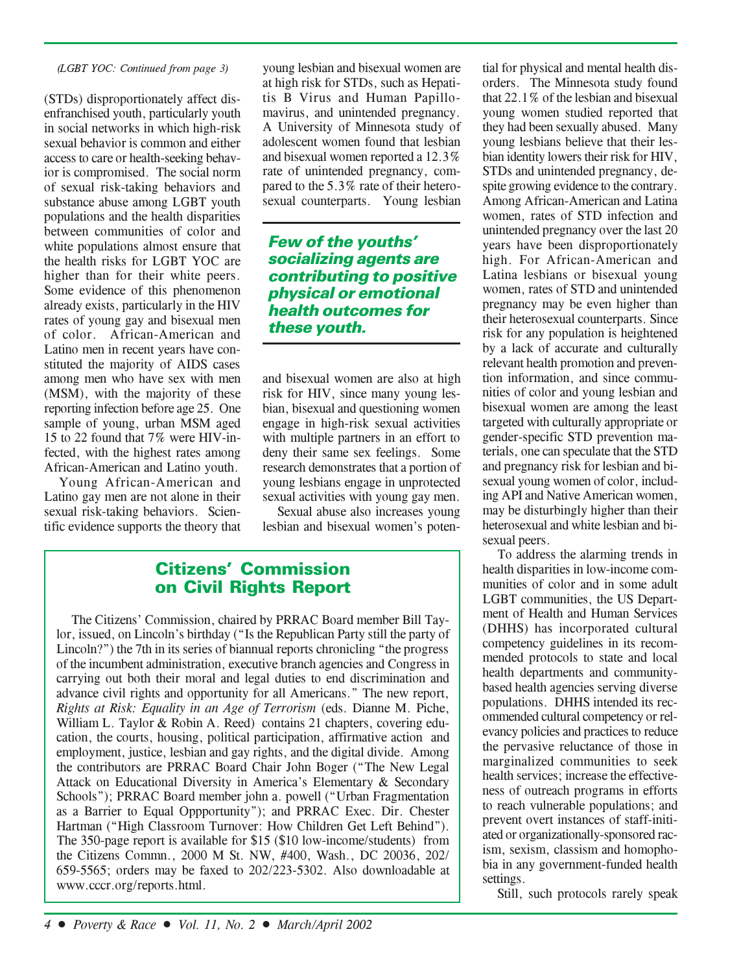#### (LGBT YOC: Continued from page 3)

(STDs) disproportionately affect disenfranchised youth, particularly youth in social networks in which high-risk sexual behavior is common and either access to care or health-seeking behavior is compromised. The social norm of sexual risk-taking behaviors and substance abuse among LGBT youth populations and the health disparities between communities of color and white populations almost ensure that the health risks for LGBT YOC are higher than for their white peers. Some evidence of this phenomenon already exists, particularly in the HIV rates of young gay and bisexual men of color. African-American and Latino men in recent years have constituted the majority of AIDS cases among men who have sex with men (MSM), with the majority of these reporting infection before age 25. One sample of young, urban MSM aged 15 to 22 found that 7% were HIV-infected, with the highest rates among African-American and Latino youth.

Young African-American and Latino gay men are not alone in their sexual risk-taking behaviors. Scientific evidence supports the theory that

young lesbian and bisexual women are at high risk for STDs, such as Hepatitis B Virus and Human Papillomavirus, and unintended pregnancy. A University of Minnesota study of adolescent women found that lesbian and bisexual women reported a 12.3% rate of unintended pregnancy, compared to the 5.3% rate of their heterosexual counterparts. Young lesbian

## **Few of the youths' socializing agents are contributing to positive physical or emotional health outcomes for these youth.**

and bisexual women are also at high risk for HIV, since many young lesbian, bisexual and questioning women engage in high-risk sexual activities with multiple partners in an effort to deny their same sex feelings. Some research demonstrates that a portion of young lesbians engage in unprotected sexual activities with young gay men.

Sexual abuse also increases young lesbian and bisexual women's poten-

# **Citizens' Commission on Civil Rights Report**

The Citizens' Commission, chaired by PRRAC Board member Bill Taylor, issued, on Lincoln's birthday ("Is the Republican Party still the party of Lincoln?") the 7th in its series of biannual reports chronicling "the progress of the incumbent administration, executive branch agencies and Congress in carrying out both their moral and legal duties to end discrimination and advance civil rights and opportunity for all Americans." The new report, Rights at Risk: Equality in an Age of Terrorism (eds. Dianne M. Piche, William L. Taylor & Robin A. Reed) contains 21 chapters, covering education, the courts, housing, political participation, affirmative action and employment, justice, lesbian and gay rights, and the digital divide. Among the contributors are PRRAC Board Chair John Boger ("The New Legal Attack on Educational Diversity in America's Elementary & Secondary Schools"); PRRAC Board member john a. powell ("Urban Fragmentation as a Barrier to Equal Oppportunity"); and PRRAC Exec. Dir. Chester Hartman ("High Classroom Turnover: How Children Get Left Behind"). The 350-page report is available for \$15 (\$10 low-income/students) from the Citizens Commn., 2000 M St. NW, #400, Wash., DC 20036, 202/ 659-5565; orders may be faxed to 202/223-5302. Also downloadable at www.cccr.org/reports.html.

tial for physical and mental health disorders. The Minnesota study found that 22.1% of the lesbian and bisexual young women studied reported that they had been sexually abused. Many young lesbians believe that their lesbian identity lowers their risk for HIV, STDs and unintended pregnancy, despite growing evidence to the contrary. Among African-American and Latina women, rates of STD infection and unintended pregnancy over the last 20 years have been disproportionately high. For African-American and Latina lesbians or bisexual young women, rates of STD and unintended pregnancy may be even higher than their heterosexual counterparts. Since risk for any population is heightened by a lack of accurate and culturally relevant health promotion and prevention information, and since communities of color and young lesbian and bisexual women are among the least targeted with culturally appropriate or gender-specific STD prevention materials, one can speculate that the STD and pregnancy risk for lesbian and bisexual young women of color, including API and Native American women, may be disturbingly higher than their heterosexual and white lesbian and bisexual peers.

To address the alarming trends in health disparities in low-income communities of color and in some adult LGBT communities, the US Department of Health and Human Services (DHHS) has incorporated cultural competency guidelines in its recommended protocols to state and local health departments and communitybased health agencies serving diverse populations. DHHS intended its recommended cultural competency or relevancy policies and practices to reduce the pervasive reluctance of those in marginalized communities to seek health services; increase the effectiveness of outreach programs in efforts to reach vulnerable populations; and prevent overt instances of staff-initiated or organizationally-sponsored racism, sexism, classism and homophobia in any government-funded health settings.

Still, such protocols rarely speak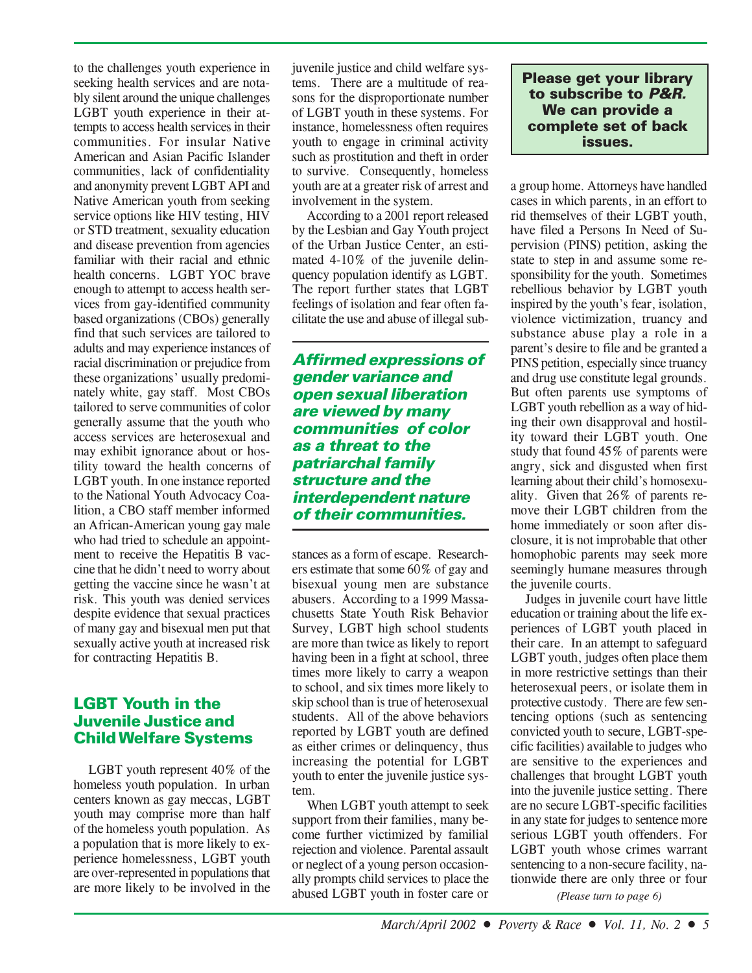to the challenges youth experience in seeking health services and are notably silent around the unique challenges LGBT youth experience in their attempts to access health services in their communities. For insular Native American and Asian Pacific Islander communities, lack of confidentiality and anonymity prevent LGBT API and Native American youth from seeking service options like HIV testing, HIV or STD treatment, sexuality education and disease prevention from agencies familiar with their racial and ethnic health concerns. LGBT YOC brave enough to attempt to access health services from gay-identified community based organizations (CBOs) generally find that such services are tailored to adults and may experience instances of racial discrimination or prejudice from these organizations' usually predominately white, gay staff. Most CBOs tailored to serve communities of color generally assume that the youth who access services are heterosexual and may exhibit ignorance about or hostility toward the health concerns of LGBT youth. In one instance reported to the National Youth Advocacy Coalition, a CBO staff member informed an African-American young gay male who had tried to schedule an appointment to receive the Hepatitis B vaccine that he didn't need to worry about getting the vaccine since he wasn't at risk. This youth was denied services despite evidence that sexual practices of many gay and bisexual men put that sexually active youth at increased risk for contracting Hepatitis B.

#### **LGBT Youth in the Juvenile Justice and Child Welfare Systems**

LGBT youth represent 40% of the homeless youth population. In urban centers known as gay meccas, LGBT youth may comprise more than half of the homeless youth population. As a population that is more likely to experience homelessness, LGBT youth are over-represented in populations that are more likely to be involved in the juvenile justice and child welfare systems. There are a multitude of reasons for the disproportionate number of LGBT youth in these systems. For instance, homelessness often requires youth to engage in criminal activity such as prostitution and theft in order to survive. Consequently, homeless youth are at a greater risk of arrest and involvement in the system.

According to a 2001 report released by the Lesbian and Gay Youth project of the Urban Justice Center, an estimated 4-10% of the juvenile delinquency population identify as LGBT. The report further states that LGBT feelings of isolation and fear often facilitate the use and abuse of illegal sub-

**Affirmed expressions of gender variance and open sexual liberation are viewed by many communities of color as a threat to the patriarchal family structure and the interdependent nature of their communities.**

stances as a form of escape. Researchers estimate that some 60% of gay and bisexual young men are substance abusers. According to a 1999 Massachusetts State Youth Risk Behavior Survey, LGBT high school students are more than twice as likely to report having been in a fight at school, three times more likely to carry a weapon to school, and six times more likely to skip school than is true of heterosexual students. All of the above behaviors reported by LGBT youth are defined as either crimes or delinquency, thus increasing the potential for LGBT youth to enter the juvenile justice system.

When LGBT youth attempt to seek support from their families, many become further victimized by familial rejection and violence. Parental assault or neglect of a young person occasionally prompts child services to place the abused LGBT youth in foster care or

**Please get your library to subscribe to P&R. We can provide a complete set of back issues.**

a group home. Attorneys have handled cases in which parents, in an effort to rid themselves of their LGBT youth, have filed a Persons In Need of Supervision (PINS) petition, asking the state to step in and assume some responsibility for the youth. Sometimes rebellious behavior by LGBT youth inspired by the youth's fear, isolation, violence victimization, truancy and substance abuse play a role in a parent's desire to file and be granted a PINS petition, especially since truancy and drug use constitute legal grounds. But often parents use symptoms of LGBT youth rebellion as a way of hiding their own disapproval and hostility toward their LGBT youth. One study that found 45% of parents were angry, sick and disgusted when first learning about their child's homosexuality. Given that 26% of parents remove their LGBT children from the home immediately or soon after disclosure, it is not improbable that other homophobic parents may seek more seemingly humane measures through the juvenile courts.

(Please turn to page 6) Judges in juvenile court have little education or training about the life experiences of LGBT youth placed in their care. In an attempt to safeguard LGBT youth, judges often place them in more restrictive settings than their heterosexual peers, or isolate them in protective custody. There are few sentencing options (such as sentencing convicted youth to secure, LGBT-specific facilities) available to judges who are sensitive to the experiences and challenges that brought LGBT youth into the juvenile justice setting. There are no secure LGBT-specific facilities in any state for judges to sentence more serious LGBT youth offenders. For LGBT youth whose crimes warrant sentencing to a non-secure facility, nationwide there are only three or four

March/April 2002 • Poverty & Race • Vol. 11, No. 2 • 5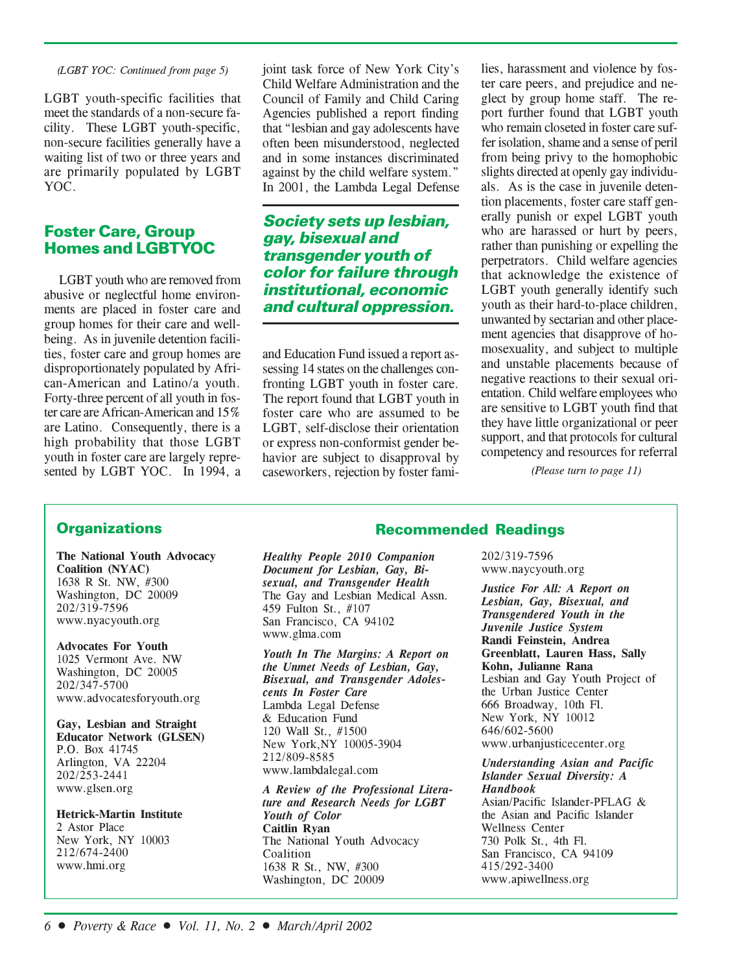#### (LGBT YOC: Continued from page 5)

LGBT youth-specific facilities that meet the standards of a non-secure facility. These LGBT youth-specific, non-secure facilities generally have a waiting list of two or three years and are primarily populated by LGBT YOC.

# **Foster Care, Group Homes and LGBT YOC**

LGBT youth who are removed from abusive or neglectful home environments are placed in foster care and group homes for their care and wellbeing. As in juvenile detention facilities, foster care and group homes are disproportionately populated by African-American and Latino/a youth. Forty-three percent of all youth in foster care are African-American and 15% are Latino. Consequently, there is a high probability that those LGBT youth in foster care are largely represented by LGBT YOC. In 1994, a joint task force of New York City's Child Welfare Administration and the Council of Family and Child Caring Agencies published a report finding that "lesbian and gay adolescents have often been misunderstood, neglected and in some instances discriminated against by the child welfare system." In 2001, the Lambda Legal Defense

**Society sets up lesbian, gay, bisexual and transgender youth of color for failure through institutional, economic and cultural oppression.**

and Education Fund issued a report assessing 14 states on the challenges confronting LGBT youth in foster care. The report found that LGBT youth in foster care who are assumed to be LGBT, self-disclose their orientation or express non-conformist gender behavior are subject to disapproval by caseworkers, rejection by foster families, harassment and violence by foster care peers, and prejudice and neglect by group home staff. The report further found that LGBT youth who remain closeted in foster care suffer isolation, shame and a sense of peril from being privy to the homophobic slights directed at openly gay individuals. As is the case in juvenile detention placements, foster care staff generally punish or expel LGBT youth who are harassed or hurt by peers, rather than punishing or expelling the perpetrators. Child welfare agencies that acknowledge the existence of LGBT youth generally identify such youth as their hard-to-place children, unwanted by sectarian and other placement agencies that disapprove of homosexuality, and subject to multiple and unstable placements because of negative reactions to their sexual orientation. Child welfare employees who are sensitive to LGBT youth find that they have little organizational or peer support, and that protocols for cultural competency and resources for referral

(Please turn to page 11)

#### **Organizations**

The National Youth Advocacy Coalition (NYAC) 1638 R St. NW, #300 Washington, DC 20009 202/319-7596 www.nyacyouth.org

Advocates For Youth 1025 Vermont Ave. NW Washington, DC 20005 202/347-5700 www.advocatesforyouth.org

Gay, Lesbian and Straight Educator Network (GLSEN) P.O. Box 41745 Arlington, VA 22204 202/253-2441 www.glsen.org

#### Hetrick-Martin Institute

2 Astor Place New York, NY 10003 212/674-2400 www.hmi.org

#### **Recommended Readings**

Healthy People 2010 Companion Document for Lesbian, Gay, Bisexual, and Transgender Health The Gay and Lesbian Medical Assn. 459 Fulton St., #107 San Francisco, CA 94102 www.glma.com

Youth In The Margins: A Report on the Unmet Needs of Lesbian, Gay, Bisexual, and Transgender Adolescents In Foster Care Lambda Legal Defense & Education Fund 120 Wall St., #1500 New York,NY 10005-3904 212/809-8585 www.lambdalegal.com

A Review of the Professional Literature and Research Needs for LGBT Youth of Color Caitlin Ryan The National Youth Advocacy Coalition 1638 R St., NW, #300 Washington, DC 20009

202/319-7596 www.naycyouth.org

Justice For All: A Report on Lesbian, Gay, Bisexual, and Transgendered Youth in the Juvenile Justice System Randi Feinstein, Andrea Greenblatt, Lauren Hass, Sally Kohn, Julianne Rana Lesbian and Gay Youth Project of the Urban Justice Center 666 Broadway, 10th Fl. New York, NY 10012 646/602-5600 www.urbanjusticecenter.org

Understanding Asian and Pacific Islander Sexual Diversity: A Handbook Asian/Pacific Islander-PFLAG & the Asian and Pacific Islander Wellness Center 730 Polk St., 4th Fl. San Francisco, CA 94109 415/292-3400 www.apiwellness.org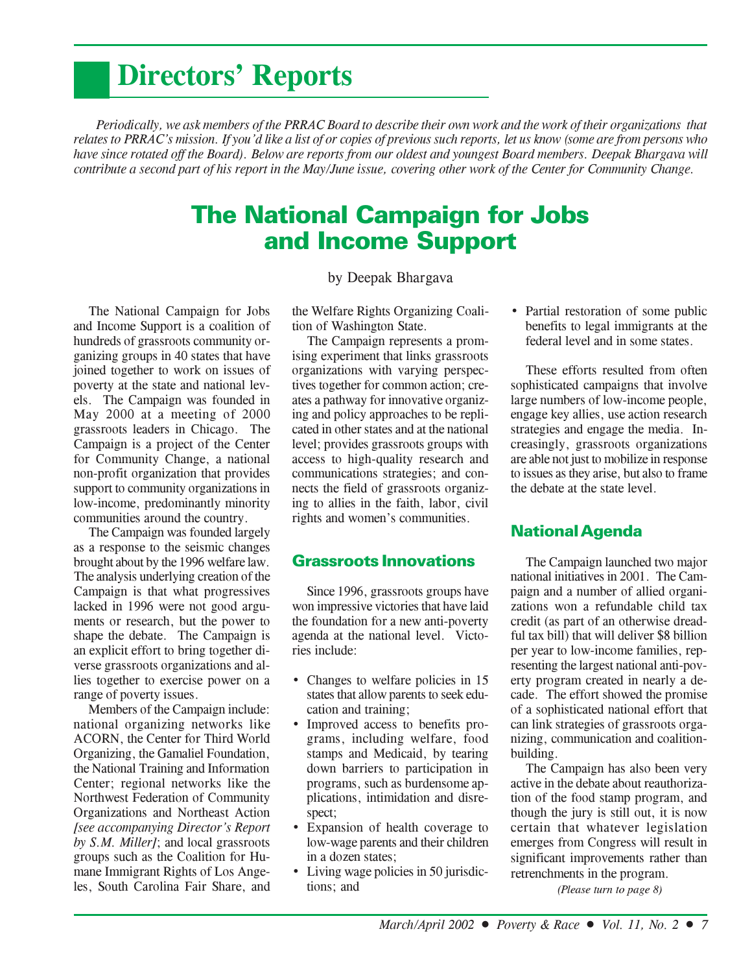# Directors' Reports

Periodically, we ask members of the PRRAC Board to describe their own work and the work of their organizations that relates to PRRAC's mission. If you'd like a list of or copies of previous such reports, let us know (some are from persons who have since rotated off the Board). Below are reports from our oldest and youngest Board members. Deepak Bhargava will contribute a second part of his report in the May/June issue, covering other work of the Center for Community Change.

# **The National Campaign for Jobs and Income Support**

by Deepak Bhargava

The National Campaign for Jobs and Income Support is a coalition of hundreds of grassroots community organizing groups in 40 states that have joined together to work on issues of poverty at the state and national levels. The Campaign was founded in May 2000 at a meeting of 2000 grassroots leaders in Chicago. The Campaign is a project of the Center for Community Change, a national non-profit organization that provides support to community organizations in low-income, predominantly minority communities around the country.

The Campaign was founded largely as a response to the seismic changes brought about by the 1996 welfare law. The analysis underlying creation of the Campaign is that what progressives lacked in 1996 were not good arguments or research, but the power to shape the debate. The Campaign is an explicit effort to bring together diverse grassroots organizations and allies together to exercise power on a range of poverty issues.

Members of the Campaign include: national organizing networks like ACORN, the Center for Third World Organizing, the Gamaliel Foundation, the National Training and Information Center; regional networks like the Northwest Federation of Community Organizations and Northeast Action [see accompanying Director's Report by  $S.M.$  Miller]; and local grassroots groups such as the Coalition for Humane Immigrant Rights of Los Angeles, South Carolina Fair Share, and

the Welfare Rights Organizing Coalition of Washington State.

The Campaign represents a promising experiment that links grassroots organizations with varying perspectives together for common action; creates a pathway for innovative organizing and policy approaches to be replicated in other states and at the national level; provides grassroots groups with access to high-quality research and communications strategies; and connects the field of grassroots organizing to allies in the faith, labor, civil rights and women's communities.

#### **Grassroots Innovations**

Since 1996, grassroots groups have won impressive victories that have laid the foundation for a new anti-poverty agenda at the national level. Victories include:

- Changes to welfare policies in 15 states that allow parents to seek education and training;
- Improved access to benefits programs, including welfare, food stamps and Medicaid, by tearing down barriers to participation in programs, such as burdensome applications, intimidation and disrespect;
- Expansion of health coverage to low-wage parents and their children in a dozen states;
- Living wage policies in 50 jurisdictions; and

• Partial restoration of some public benefits to legal immigrants at the federal level and in some states.

These efforts resulted from often sophisticated campaigns that involve large numbers of low-income people, engage key allies, use action research strategies and engage the media. Increasingly, grassroots organizations are able not just to mobilize in response to issues as they arise, but also to frame the debate at the state level.

# **National Agenda**

The Campaign launched two major national initiatives in 2001. The Campaign and a number of allied organizations won a refundable child tax credit (as part of an otherwise dreadful tax bill) that will deliver \$8 billion per year to low-income families, representing the largest national anti-poverty program created in nearly a decade. The effort showed the promise of a sophisticated national effort that can link strategies of grassroots organizing, communication and coalitionbuilding.

The Campaign has also been very active in the debate about reauthorization of the food stamp program, and though the jury is still out, it is now certain that whatever legislation emerges from Congress will result in significant improvements rather than retrenchments in the program.

(Please turn to page 8)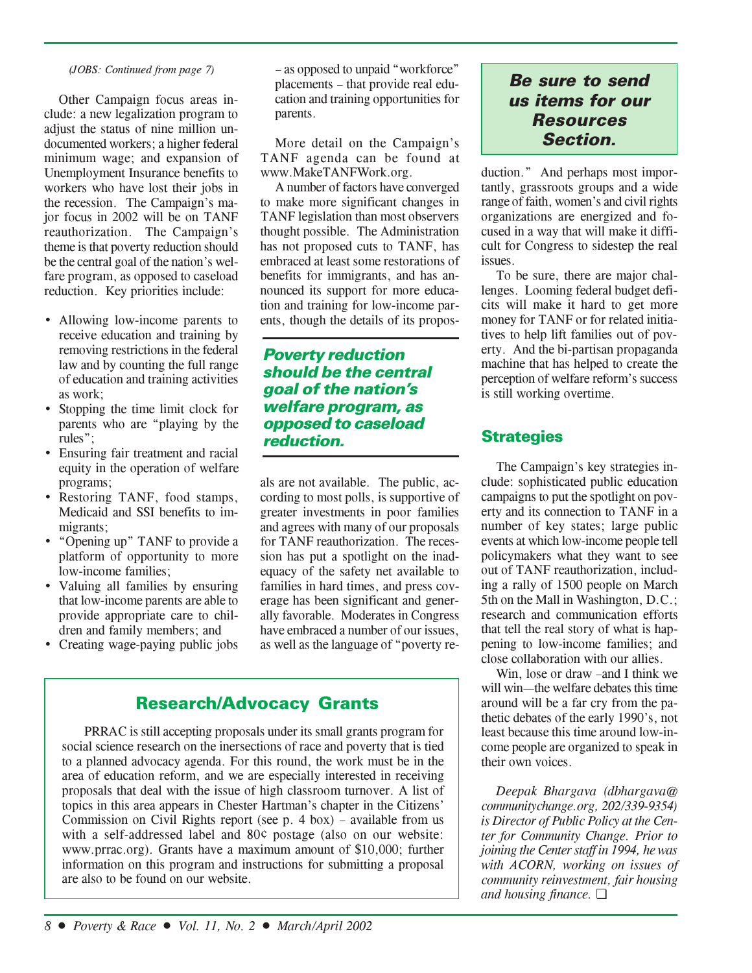#### (JOBS: Continued from page 7)

Other Campaign focus areas include: a new legalization program to adjust the status of nine million undocumented workers; a higher federal minimum wage; and expansion of Unemployment Insurance benefits to workers who have lost their jobs in the recession. The Campaign's major focus in 2002 will be on TANF reauthorization. The Campaign's theme is that poverty reduction should be the central goal of the nation's welfare program, as opposed to caseload reduction. Key priorities include:

- Allowing low-income parents to receive education and training by removing restrictions in the federal law and by counting the full range of education and training activities as work;
- Stopping the time limit clock for parents who are "playing by the rules";
- Ensuring fair treatment and racial equity in the operation of welfare programs;
- Restoring TANF, food stamps, Medicaid and SSI benefits to immigrants;
- "Opening up" TANF to provide a platform of opportunity to more low-income families;
- Valuing all families by ensuring that low-income parents are able to provide appropriate care to children and family members; and
- Creating wage-paying public jobs

– as opposed to unpaid "workforce" placements – that provide real education and training opportunities for parents.

More detail on the Campaign's TANF agenda can be found at www.MakeTANFWork.org.

A number of factors have converged to make more significant changes in TANF legislation than most observers thought possible. The Administration has not proposed cuts to TANF, has embraced at least some restorations of benefits for immigrants, and has announced its support for more education and training for low-income parents, though the details of its propos-

## **Poverty reduction should be the central goal of the nation's welfare program, as opposed to caseload reduction.**

als are not available. The public, according to most polls, is supportive of greater investments in poor families and agrees with many of our proposals for TANF reauthorization. The recession has put a spotlight on the inadequacy of the safety net available to families in hard times, and press coverage has been significant and generally favorable. Moderates in Congress have embraced a number of our issues, as well as the language of "poverty re-

# **Research/Advocacy Grants**

PRRAC is still accepting proposals under its small grants program for social science research on the inersections of race and poverty that is tied to a planned advocacy agenda. For this round, the work must be in the area of education reform, and we are especially interested in receiving proposals that deal with the issue of high classroom turnover. A list of topics in this area appears in Chester Hartman's chapter in the Citizens' Commission on Civil Rights report (see p. 4 box) – available from us with a self-addressed label and 80¢ postage (also on our website: www.prrac.org). Grants have a maximum amount of \$10,000; further information on this program and instructions for submitting a proposal are also to be found on our website.

# **Be sure to send us items for our Resources Section.**

duction." And perhaps most importantly, grassroots groups and a wide range of faith, women's and civil rights organizations are energized and focused in a way that will make it difficult for Congress to sidestep the real issues.

To be sure, there are major challenges. Looming federal budget deficits will make it hard to get more money for TANF or for related initiatives to help lift families out of poverty. And the bi-partisan propaganda machine that has helped to create the perception of welfare reform's success is still working overtime.

# **Strategies**

The Campaign's key strategies include: sophisticated public education campaigns to put the spotlight on poverty and its connection to TANF in a number of key states; large public events at which low-income people tell policymakers what they want to see out of TANF reauthorization, including a rally of 1500 people on March 5th on the Mall in Washington, D.C.; research and communication efforts that tell the real story of what is happening to low-income families; and close collaboration with our allies.

Win, lose or draw –and I think we will win—the welfare debates this time around will be a far cry from the pathetic debates of the early 1990's, not least because this time around low-income people are organized to speak in their own voices.

Deepak Bhargava (dbhargava@ communitychange.org, 202/339-9354) is Director of Public Policy at the Center for Community Change. Prior to joining the Center staff in 1994, he was with ACORN, working on issues of community reinvestment, fair housing and housing finance.  $\Box$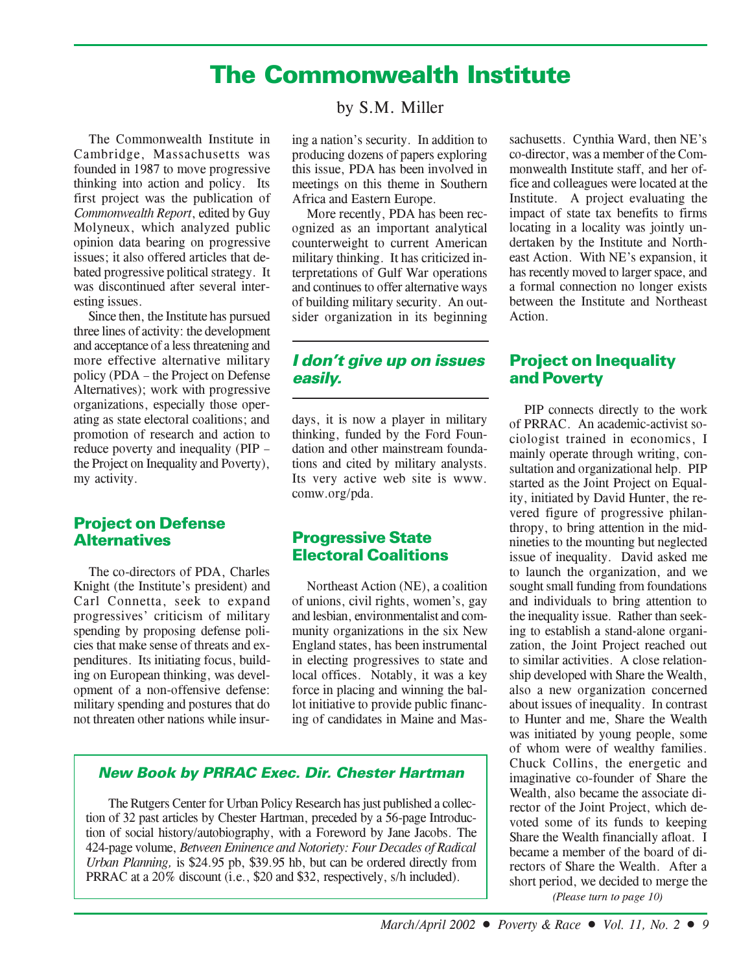# **The Commonwealth Institute**

The Commonwealth Institute in Cambridge, Massachusetts was founded in 1987 to move progressive thinking into action and policy. Its first project was the publication of Commonwealth Report, edited by Guy Molyneux, which analyzed public opinion data bearing on progressive issues; it also offered articles that debated progressive political strategy. It was discontinued after several interesting issues.

Since then, the Institute has pursued three lines of activity: the development and acceptance of a less threatening and more effective alternative military policy (PDA – the Project on Defense Alternatives); work with progressive organizations, especially those operating as state electoral coalitions; and promotion of research and action to reduce poverty and inequality (PIP – the Project on Inequality and Poverty), my activity.

## **Project on Defense Alternatives**

The co-directors of PDA, Charles Knight (the Institute's president) and Carl Connetta, seek to expand progressives' criticism of military spending by proposing defense policies that make sense of threats and expenditures. Its initiating focus, building on European thinking, was development of a non-offensive defense: military spending and postures that do not threaten other nations while insur-

#### by S.M. Miller

ing a nation's security. In addition to producing dozens of papers exploring this issue, PDA has been involved in meetings on this theme in Southern Africa and Eastern Europe.

More recently, PDA has been recognized as an important analytical counterweight to current American military thinking. It has criticized interpretations of Gulf War operations and continues to offer alternative ways of building military security. An outsider organization in its beginning

## **I don't give up on issues easily.**

days, it is now a player in military thinking, funded by the Ford Foundation and other mainstream foundations and cited by military analysts. Its very active web site is www. comw.org/pda.

#### **Progressive State Electoral Coalitions**

Northeast Action (NE), a coalition of unions, civil rights, women's, gay and lesbian, environmentalist and community organizations in the six New England states, has been instrumental in electing progressives to state and local offices. Notably, it was a key force in placing and winning the ballot initiative to provide public financing of candidates in Maine and Mas-

#### **New Book by PRRAC Exec. Dir. Chester Hartman**

The Rutgers Center for Urban Policy Research has just published a collection of 32 past articles by Chester Hartman, preceded by a 56-page Introduction of social history/autobiography, with a Foreword by Jane Jacobs. The 424-page volume, Between Eminence and Notoriety: Four Decades of Radical Urban Planning, is \$24.95 pb, \$39.95 hb, but can be ordered directly from PRRAC at a 20% discount (i.e., \$20 and \$32, respectively, s/h included).

sachusetts. Cynthia Ward, then NE's co-director, was a member of the Commonwealth Institute staff, and her office and colleagues were located at the Institute. A project evaluating the impact of state tax benefits to firms locating in a locality was jointly undertaken by the Institute and Northeast Action. With NE's expansion, it has recently moved to larger space, and a formal connection no longer exists between the Institute and Northeast Action.

#### **Project on Inequality and Poverty**

PIP connects directly to the work of PRRAC. An academic-activist sociologist trained in economics, I mainly operate through writing, consultation and organizational help. PIP started as the Joint Project on Equality, initiated by David Hunter, the revered figure of progressive philanthropy, to bring attention in the midnineties to the mounting but neglected issue of inequality. David asked me to launch the organization, and we sought small funding from foundations and individuals to bring attention to the inequality issue. Rather than seeking to establish a stand-alone organization, the Joint Project reached out to similar activities. A close relationship developed with Share the Wealth, also a new organization concerned about issues of inequality. In contrast to Hunter and me, Share the Wealth was initiated by young people, some of whom were of wealthy families. Chuck Collins, the energetic and imaginative co-founder of Share the Wealth, also became the associate director of the Joint Project, which devoted some of its funds to keeping Share the Wealth financially afloat. I became a member of the board of directors of Share the Wealth. After a short period, we decided to merge the

(Please turn to page 10)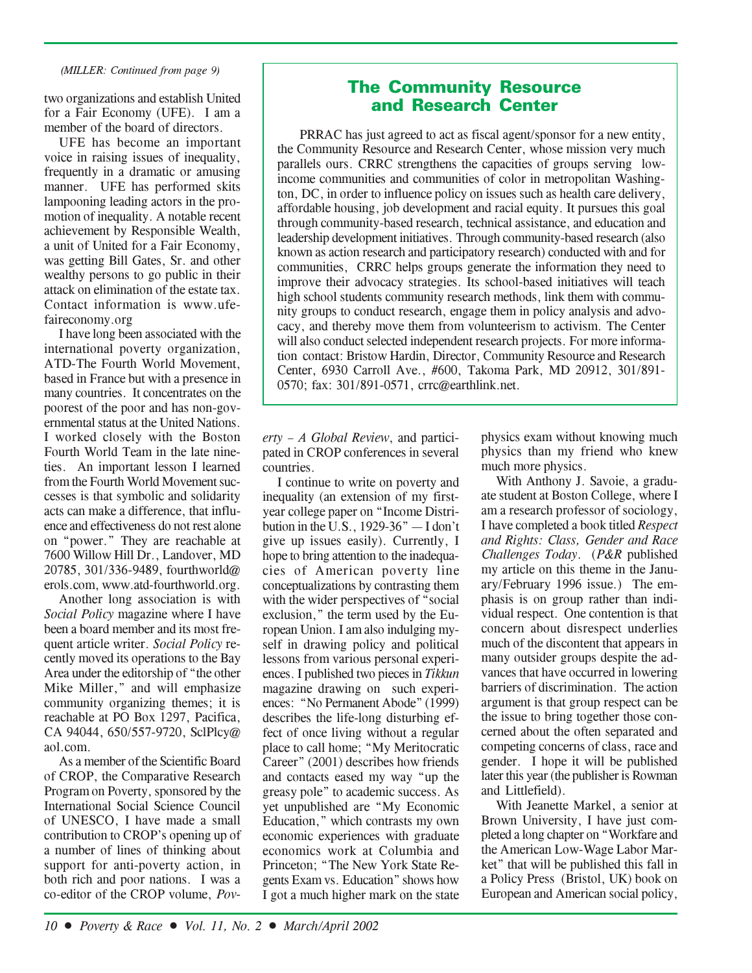#### (MILLER: Continued from page 9)

two organizations and establish United for a Fair Economy (UFE). I am a member of the board of directors.

UFE has become an important voice in raising issues of inequality, frequently in a dramatic or amusing manner. UFE has performed skits lampooning leading actors in the promotion of inequality. A notable recent achievement by Responsible Wealth, a unit of United for a Fair Economy, was getting Bill Gates, Sr. and other wealthy persons to go public in their attack on elimination of the estate tax. Contact information is www.ufefaireconomy.org

I have long been associated with the international poverty organization, ATD-The Fourth World Movement, based in France but with a presence in many countries. It concentrates on the poorest of the poor and has non-governmental status at the United Nations. I worked closely with the Boston Fourth World Team in the late nineties. An important lesson I learned from the Fourth World Movement successes is that symbolic and solidarity acts can make a difference, that influence and effectiveness do not rest alone on "power." They are reachable at 7600 Willow Hill Dr., Landover, MD 20785, 301/336-9489, fourthworld@ erols.com, www.atd-fourthworld.org.

Another long association is with Social Policy magazine where I have been a board member and its most frequent article writer. Social Policy recently moved its operations to the Bay Area under the editorship of "the other Mike Miller," and will emphasize community organizing themes; it is reachable at PO Box 1297, Pacifica, CA 94044, 650/557-9720, SclPlcy@ aol.com.

As a member of the Scientific Board of CROP, the Comparative Research Program on Poverty, sponsored by the International Social Science Council of UNESCO, I have made a small contribution to CROP's opening up of a number of lines of thinking about support for anti-poverty action, in both rich and poor nations. I was a co-editor of the CROP volume, Pov-

# **The Community Resource and Research Center**

PRRAC has just agreed to act as fiscal agent/sponsor for a new entity, the Community Resource and Research Center, whose mission very much parallels ours. CRRC strengthens the capacities of groups serving lowincome communities and communities of color in metropolitan Washington, DC, in order to influence policy on issues such as health care delivery, affordable housing, job development and racial equity. It pursues this goal through community-based research, technical assistance, and education and leadership development initiatives. Through community-based research (also known as action research and participatory research) conducted with and for communities, CRRC helps groups generate the information they need to improve their advocacy strategies. Its school-based initiatives will teach high school students community research methods, link them with community groups to conduct research, engage them in policy analysis and advocacy, and thereby move them from volunteerism to activism. The Center will also conduct selected independent research projects. For more information contact: Bristow Hardin, Director, Community Resource and Research Center, 6930 Carroll Ave., #600, Takoma Park, MD 20912, 301/891- 0570; fax: 301/891-0571, crrc@earthlink.net.

erty – A Global Review, and participated in CROP conferences in several countries.

I continue to write on poverty and inequality (an extension of my firstyear college paper on "Income Distribution in the U.S., 1929-36" — I don't give up issues easily). Currently, I hope to bring attention to the inadequacies of American poverty line conceptualizations by contrasting them with the wider perspectives of "social exclusion," the term used by the European Union. I am also indulging myself in drawing policy and political lessons from various personal experiences. I published two pieces in Tikkun magazine drawing on such experiences: "No Permanent Abode" (1999) describes the life-long disturbing effect of once living without a regular place to call home; "My Meritocratic Career" (2001) describes how friends and contacts eased my way "up the greasy pole" to academic success. As yet unpublished are "My Economic Education," which contrasts my own economic experiences with graduate economics work at Columbia and Princeton; "The New York State Regents Exam vs. Education" shows how I got a much higher mark on the state physics exam without knowing much physics than my friend who knew much more physics.

With Anthony J. Savoie, a graduate student at Boston College, where I am a research professor of sociology, I have completed a book titled Respect and Rights: Class, Gender and Race Challenges Today. (P&R published my article on this theme in the January/February 1996 issue.) The emphasis is on group rather than individual respect. One contention is that concern about disrespect underlies much of the discontent that appears in many outsider groups despite the advances that have occurred in lowering barriers of discrimination. The action argument is that group respect can be the issue to bring together those concerned about the often separated and competing concerns of class, race and gender. I hope it will be published later this year (the publisher is Rowman and Littlefield).

With Jeanette Markel, a senior at Brown University, I have just completed a long chapter on "Workfare and the American Low-Wage Labor Market" that will be published this fall in a Policy Press (Bristol, UK) book on European and American social policy,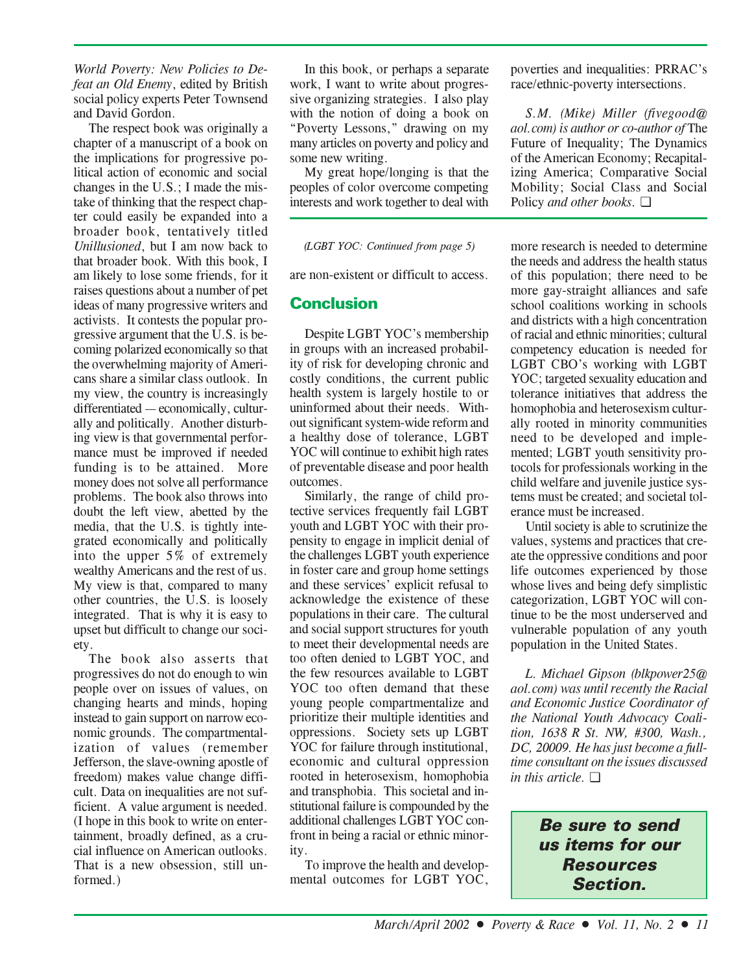World Poverty: New Policies to Defeat an Old Enemy, edited by British social policy experts Peter Townsend and David Gordon.

The respect book was originally a chapter of a manuscript of a book on the implications for progressive political action of economic and social changes in the U.S.; I made the mistake of thinking that the respect chapter could easily be expanded into a broader book, tentatively titled Unillusioned, but I am now back to that broader book. With this book, I am likely to lose some friends, for it raises questions about a number of pet ideas of many progressive writers and activists. It contests the popular progressive argument that the U.S. is becoming polarized economically so that the overwhelming majority of Americans share a similar class outlook. In my view, the country is increasingly differentiated — economically, culturally and politically. Another disturbing view is that governmental performance must be improved if needed funding is to be attained. More money does not solve all performance problems. The book also throws into doubt the left view, abetted by the media, that the U.S. is tightly integrated economically and politically into the upper 5% of extremely wealthy Americans and the rest of us. My view is that, compared to many other countries, the U.S. is loosely integrated. That is why it is easy to upset but difficult to change our society.

The book also asserts that progressives do not do enough to win people over on issues of values, on changing hearts and minds, hoping instead to gain support on narrow economic grounds. The compartmentalization of values (remember Jefferson, the slave-owning apostle of freedom) makes value change difficult. Data on inequalities are not sufficient. A value argument is needed. (I hope in this book to write on entertainment, broadly defined, as a crucial influence on American outlooks. That is a new obsession, still unformed.)

In this book, or perhaps a separate work, I want to write about progressive organizing strategies. I also play with the notion of doing a book on "Poverty Lessons," drawing on my many articles on poverty and policy and some new writing.

My great hope/longing is that the peoples of color overcome competing interests and work together to deal with

(LGBT YOC: Continued from page 5)

are non-existent or difficult to access.

# **Conclusion**

Despite LGBT YOC's membership in groups with an increased probability of risk for developing chronic and costly conditions, the current public health system is largely hostile to or uninformed about their needs. Without significant system-wide reform and a healthy dose of tolerance, LGBT YOC will continue to exhibit high rates of preventable disease and poor health outcomes.

Similarly, the range of child protective services frequently fail LGBT youth and LGBT YOC with their propensity to engage in implicit denial of the challenges LGBT youth experience in foster care and group home settings and these services' explicit refusal to acknowledge the existence of these populations in their care. The cultural and social support structures for youth to meet their developmental needs are too often denied to LGBT YOC, and the few resources available to LGBT YOC too often demand that these young people compartmentalize and prioritize their multiple identities and oppressions. Society sets up LGBT YOC for failure through institutional, economic and cultural oppression rooted in heterosexism, homophobia and transphobia. This societal and institutional failure is compounded by the additional challenges LGBT YOC confront in being a racial or ethnic minority.

To improve the health and developmental outcomes for LGBT YOC, poverties and inequalities: PRRAC's race/ethnic-poverty intersections.

S.M. (Mike) Miller (fivegood@ aol.com) is author or co-author of The Future of Inequality; The Dynamics of the American Economy; Recapitalizing America; Comparative Social Mobility; Social Class and Social Policy *and other books*. **□** 

more research is needed to determine the needs and address the health status of this population; there need to be more gay-straight alliances and safe school coalitions working in schools and districts with a high concentration of racial and ethnic minorities; cultural competency education is needed for LGBT CBO's working with LGBT YOC; targeted sexuality education and tolerance initiatives that address the homophobia and heterosexism culturally rooted in minority communities need to be developed and implemented; LGBT youth sensitivity protocols for professionals working in the child welfare and juvenile justice systems must be created; and societal tolerance must be increased.

Until society is able to scrutinize the values, systems and practices that create the oppressive conditions and poor life outcomes experienced by those whose lives and being defy simplistic categorization, LGBT YOC will continue to be the most underserved and vulnerable population of any youth population in the United States.

L. Michael Gipson (blkpower25@ aol.com) was until recently the Racial and Economic Justice Coordinator of the National Youth Advocacy Coalition, 1638 R St. NW, #300, Wash., DC, 20009. He has just become a fulltime consultant on the issues discussed in this article. ❏

> **Be sure to send us items for our Resources Section.**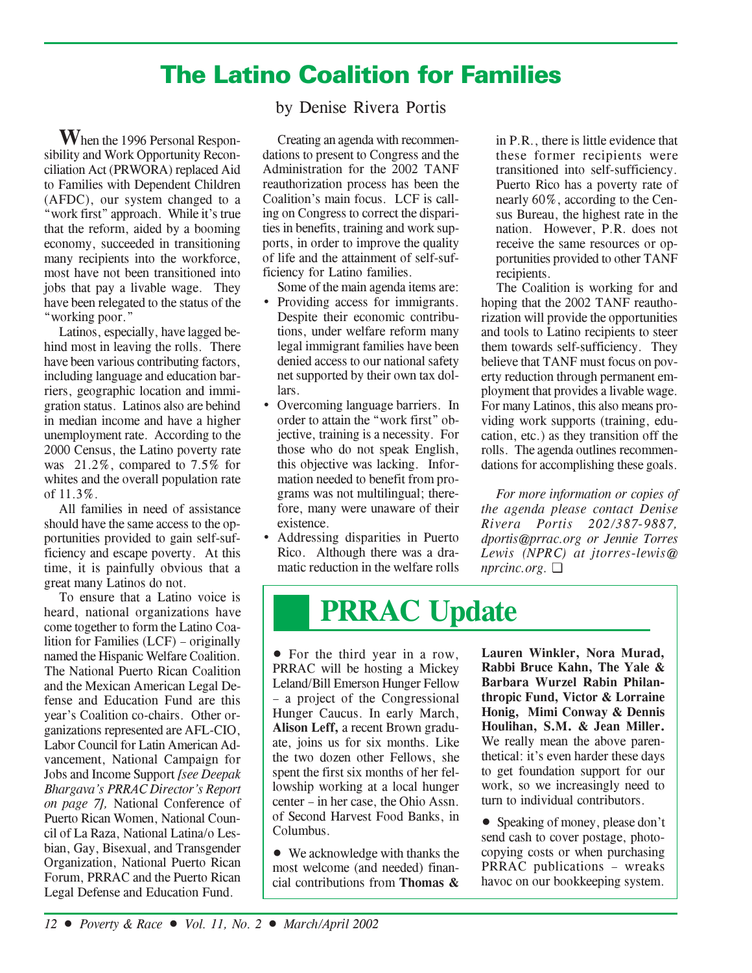# **The Latino Coalition for Families**

When the 1996 Personal Responsibility and Work Opportunity Reconciliation Act (PRWORA) replaced Aid to Families with Dependent Children (AFDC), our system changed to a "work first" approach. While it's true that the reform, aided by a booming economy, succeeded in transitioning many recipients into the workforce, most have not been transitioned into jobs that pay a livable wage. They have been relegated to the status of the "working poor."

Latinos, especially, have lagged behind most in leaving the rolls. There have been various contributing factors, including language and education barriers, geographic location and immigration status. Latinos also are behind in median income and have a higher unemployment rate. According to the 2000 Census, the Latino poverty rate was 21.2%, compared to 7.5% for whites and the overall population rate of 11.3%.

All families in need of assistance should have the same access to the opportunities provided to gain self-sufficiency and escape poverty. At this time, it is painfully obvious that a great many Latinos do not.

To ensure that a Latino voice is heard, national organizations have come together to form the Latino Coalition for Families (LCF) – originally named the Hispanic Welfare Coalition. The National Puerto Rican Coalition and the Mexican American Legal Defense and Education Fund are this year's Coalition co-chairs. Other organizations represented are AFL-CIO, Labor Council for Latin American Advancement, National Campaign for Jobs and Income Support [see Deepak Bhargava's PRRAC Director's Report on page 7], National Conference of Puerto Rican Women, National Council of La Raza, National Latina/o Lesbian, Gay, Bisexual, and Transgender Organization, National Puerto Rican Forum, PRRAC and the Puerto Rican Legal Defense and Education Fund.

by Denise Rivera Portis

Creating an agenda with recommendations to present to Congress and the Administration for the 2002 TANF reauthorization process has been the Coalition's main focus. LCF is calling on Congress to correct the disparities in benefits, training and work supports, in order to improve the quality of life and the attainment of self-sufficiency for Latino families.

Some of the main agenda items are:

- Providing access for immigrants. Despite their economic contributions, under welfare reform many legal immigrant families have been denied access to our national safety net supported by their own tax dollars.
- Overcoming language barriers. In order to attain the "work first" objective, training is a necessity. For those who do not speak English, this objective was lacking. Information needed to benefit from programs was not multilingual; therefore, many were unaware of their existence.
- Addressing disparities in Puerto Rico. Although there was a dramatic reduction in the welfare rolls

in P.R., there is little evidence that these former recipients were transitioned into self-sufficiency. Puerto Rico has a poverty rate of nearly 60%, according to the Census Bureau, the highest rate in the nation. However, P.R. does not receive the same resources or opportunities provided to other TANF recipients.

The Coalition is working for and hoping that the 2002 TANF reauthorization will provide the opportunities and tools to Latino recipients to steer them towards self-sufficiency. They believe that TANF must focus on poverty reduction through permanent employment that provides a livable wage. For many Latinos, this also means providing work supports (training, education, etc.) as they transition off the rolls. The agenda outlines recommendations for accomplishing these goals.

For more information or copies of the agenda please contact Denise Rivera Portis 202/387-9887, dportis@prrac.org or Jennie Torres Lewis (NPRC) at jtorres-lewis@ nprcinc.org. ❏

# PRRAC Update

• For the third year in a row, PRRAC will be hosting a Mickey Leland/Bill Emerson Hunger Fellow – a project of the Congressional Hunger Caucus. In early March, Alison Leff, a recent Brown graduate, joins us for six months. Like the two dozen other Fellows, she spent the first six months of her fellowship working at a local hunger center – in her case, the Ohio Assn. of Second Harvest Food Banks, in Columbus.

• We acknowledge with thanks the most welcome (and needed) financial contributions from Thomas & Lauren Winkler, Nora Murad, Rabbi Bruce Kahn, The Yale & Barbara Wurzel Rabin Philanthropic Fund, Victor & Lorraine Honig, Mimi Conway & Dennis Houlihan, S.M. & Jean Miller. We really mean the above parenthetical: it's even harder these days to get foundation support for our work, so we increasingly need to turn to individual contributors.

• Speaking of money, please don't send cash to cover postage, photocopying costs or when purchasing PRRAC publications – wreaks havoc on our bookkeeping system.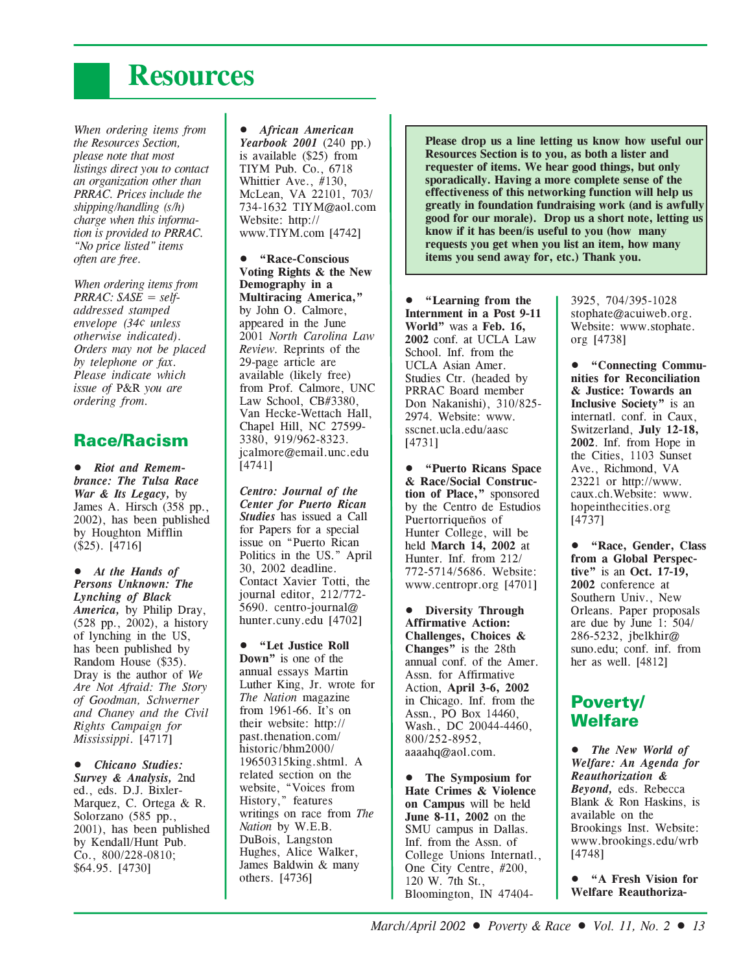# **Resources**

When ordering items from the Resources Section, please note that most listings direct you to contact an organization other than PRRAC. Prices include the shipping/handling (s/h) charge when this information is provided to PRRAC. "No price listed" items often are free.

When ordering items from  $PRRAC: SASE = self$ addressed stamped envelope (34¢ unless otherwise indicated). Orders may not be placed by telephone or fax. Please indicate which issue of P&R you are ordering from.

# **Race/Racism**

• Riot and Remembrance: The Tulsa Race War & Its Legacy, by James A. Hirsch (358 pp., 2002), has been published by Houghton Mifflin (\$25). [4716]

• At the Hands of Persons Unknown: The Lynching of Black America, by Philip Dray, (528 pp., 2002), a history of lynching in the US, has been published by Random House (\$35). Dray is the author of We Are Not Afraid: The Story of Goodman, Schwerner and Chaney and the Civil Rights Campaign for Mississippi. [4717]

• Chicano Studies: Survey & Analysis, 2nd ed., eds. D.J. Bixler-Marquez, C. Ortega & R. Solorzano (585 pp., 2001), has been published by Kendall/Hunt Pub. Co., 800/228-0810; \$64.95. [4730]

• African American Yearbook 2001 (240 pp.) is available (\$25) from TIYM Pub. Co., 6718 Whittier Ave., #130, McLean, VA 22101, 703/ 734-1632 TIYM@aol.com Website: http:// www.TIYM.com [4742]

• "Race-Conscious Voting Rights & the New Demography in a Multiracing America," by John O. Calmore, appeared in the June 2001 North Carolina Law Review. Reprints of the 29-page article are available (likely free) from Prof. Calmore, UNC Law School, CB#3380, Van Hecke-Wettach Hall, Chapel Hill, NC 27599- 3380, 919/962-8323. jcalmore@email.unc.edu [4741]

Centro: Journal of the Center for Puerto Rican Studies has issued a Call for Papers for a special issue on "Puerto Rican Politics in the US." April 30, 2002 deadline. Contact Xavier Totti, the journal editor, 212/772- 5690. centro-journal@ hunter.cuny.edu [4702]

• "Let Justice Roll Down" is one of the annual essays Martin Luther King, Jr. wrote for The Nation magazine from 1961-66. It's on their website: http:// past.thenation.com/ historic/bhm2000/ 19650315king.shtml. A related section on the website, "Voices from History," features writings on race from The Nation by W.E.B. DuBois, Langston Hughes, Alice Walker, James Baldwin & many others. [4736]

Please drop us a line letting us know how useful our Resources Section is to you, as both a lister and requester of items. We hear good things, but only sporadically. Having a more complete sense of the effectiveness of this networking function will help us greatly in foundation fundraising work (and is awfully good for our morale). Drop us a short note, letting us know if it has been/is useful to you (how many requests you get when you list an item, how many items you send away for, etc.) Thank you.

• "Learning from the Internment in a Post 9-11 World" was a Feb. 16, 2002 conf. at UCLA Law School. Inf. from the UCLA Asian Amer. Studies Ctr. (headed by PRRAC Board member Don Nakanishi), 310/825- 2974. Website: www. sscnet.ucla.edu/aasc [4731]

• "Puerto Ricans Space & Race/Social Construction of Place," sponsored by the Centro de Estudios Puertorriqueños of Hunter College, will be held March 14, 2002 at Hunter. Inf. from 212/ 772-5714/5686. Website: www.centropr.org [4701]

• Diversity Through Affirmative Action: Challenges, Choices & Changes" is the 28th annual conf. of the Amer. Assn. for Affirmative Action, April 3-6, 2002 in Chicago. Inf. from the Assn., PO Box 14460, Wash., DC 20044-4460, 800/252-8952, aaaahq@aol.com.

• The Symposium for Hate Crimes & Violence on Campus will be held June 8-11, 2002 on the SMU campus in Dallas. Inf. from the Assn. of College Unions Internatl., One City Centre, #200, 120 W. 7th St., Bloomington, IN 474043925, 704/395-1028 stophate@acuiweb.org. Website: www.stophate. org [4738]

• "Connecting Communities for Reconciliation & Justice: Towards an Inclusive Society" is an internatl. conf. in Caux, Switzerland, July 12-18, 2002. Inf. from Hope in the Cities, 1103 Sunset Ave., Richmond, VA 23221 or http://www. caux.ch.Website: www. hopeinthecities.org [4737]

• "Race, Gender, Class from a Global Perspective" is an Oct. 17-19, 2002 conference at Southern Univ., New Orleans. Paper proposals are due by June 1: 504/ 286-5232, jbelkhir@ suno.edu; conf. inf. from her as well. [4812]

# **Poverty/ Welfare**

• The New World of Welfare: An Agenda for Reauthorization & Beyond, eds. Rebecca Blank & Ron Haskins, is available on the Brookings Inst. Website: www.brookings.edu/wrb [4748]

• "A Fresh Vision for Welfare Reauthoriza-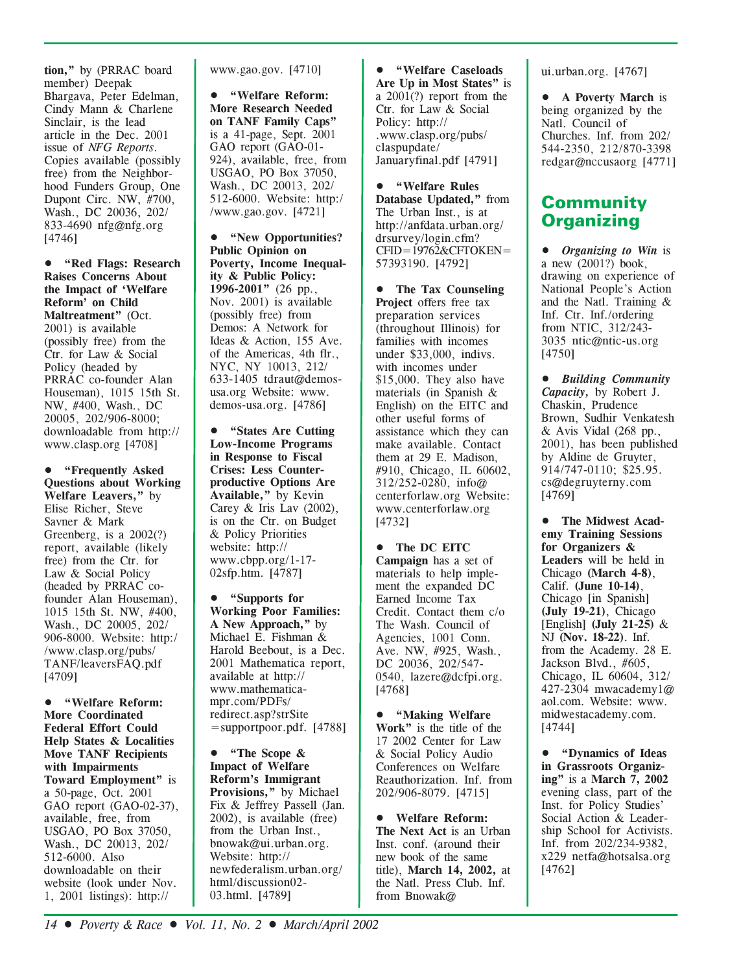tion," by (PRRAC board member) Deepak Bhargava, Peter Edelman, Cindy Mann & Charlene Sinclair, is the lead article in the Dec. 2001 issue of NFG Reports. Copies available (possibly free) from the Neighborhood Funders Group, One Dupont Circ. NW, #700, Wash., DC 20036, 202/ 833-4690 nfg@nfg.org [4746]

• "Red Flags: Research Raises Concerns About the Impact of 'Welfare Reform' on Child Maltreatment" (Oct. 2001) is available (possibly free) from the Ctr. for Law & Social Policy (headed by PRRAC co-founder Alan Houseman), 1015 15th St. NW, #400, Wash., DC 20005, 202/906-8000; downloadable from http:// www.clasp.org [4708]

• "Frequently Asked Questions about Working Welfare Leavers," by Elise Richer, Steve Savner & Mark Greenberg, is a 2002(?) report, available (likely free) from the Ctr. for Law & Social Policy (headed by PRRAC cofounder Alan Houseman), 1015 15th St. NW, #400, Wash., DC 20005, 202/ 906-8000. Website: http:/ /www.clasp.org/pubs/ TANF/leaversFAQ.pdf [4709]

• "Welfare Reform: More Coordinated Federal Effort Could Help States & Localities Move TANF Recipients with Impairments Toward Employment" is a 50-page, Oct. 2001 GAO report (GAO-02-37), available, free, from USGAO, PO Box 37050, Wash., DC 20013, 202/ 512-6000. Also downloadable on their website (look under Nov. 1, 2001 listings): http://

www.gao.gov. [4710]

• "Welfare Reform: More Research Needed on TANF Family Caps" is a 41-page, Sept. 2001 GAO report (GAO-01- 924), available, free, from USGAO, PO Box 37050, Wash., DC 20013, 202/ 512-6000. Website: http:/ /www.gao.gov. [4721]

• "New Opportunities? Public Opinion on Poverty, Income Inequality & Public Policy: 1996-2001" (26 pp., Nov. 2001) is available (possibly free) from Demos: A Network for Ideas & Action, 155 Ave. of the Americas, 4th flr., NYC, NY 10013, 212/ 633-1405 tdraut@demosusa.org Website: www. demos-usa.org. [4786]

• "States Are Cutting Low-Income Programs in Response to Fiscal Crises: Less Counterproductive Options Are Available," by Kevin Carey  $&$  Iris Lav  $(2002)$ , is on the Ctr. on Budget & Policy Priorities website: http:// www.cbpp.org/1-17- 02sfp.htm. [4787]

• "Supports for Working Poor Families: A New Approach," by Michael E. Fishman & Harold Beebout, is a Dec. 2001 Mathematica report, available at http:// www.mathematicampr.com/PDFs/ redirect.asp?strSite =supportpoor.pdf. [4788]

• "The Scope & Impact of Welfare Reform's Immigrant Provisions," by Michael Fix & Jeffrey Passell (Jan. 2002), is available (free) from the Urban Inst., bnowak@ui.urban.org. Website: http:// newfederalism.urban.org/ html/discussion02- 03.html. [4789]

• "Welfare Caseloads Are Up in Most States" is a 2001(?) report from the Ctr. for Law & Social Policy: http:// .www.clasp.org/pubs/ claspupdate/ Januaryfinal.pdf [4791]

• "Welfare Rules Database Updated," from The Urban Inst., is at http://anfdata.urban.org/ drsurvey/login.cfm? CFID=19762&CFTOKEN= 57393190. [4792]

• The Tax Counseling Project offers free tax preparation services (throughout Illinois) for families with incomes under \$33,000, indivs. with incomes under \$15,000. They also have materials (in Spanish & English) on the EITC and other useful forms of assistance which they can make available. Contact them at 29 E. Madison, #910, Chicago, IL 60602, 312/252-0280, info@ centerforlaw.org Website: www.centerforlaw.org [4732]

• The DC EITC Campaign has a set of materials to help implement the expanded DC Earned Income Tax Credit. Contact them c/o The Wash. Council of Agencies, 1001 Conn. Ave. NW, #925, Wash., DC 20036, 202/547- 0540, lazere@dcfpi.org. [4768]

• "Making Welfare Work" is the title of the 17 2002 Center for Law & Social Policy Audio Conferences on Welfare Reauthorization. Inf. from 202/906-8079. [4715]

• Welfare Reform: The Next Act is an Urban Inst. conf. (around their new book of the same title), March 14, 2002, at the Natl. Press Club. Inf. from Bnowak@

ui.urban.org. [4767]

• A Poverty March is being organized by the Natl. Council of Churches. Inf. from 202/ 544-2350, 212/870-3398 redgar@nccusaorg [4771]

# **Community Organizing**

• Organizing to Win is a new (2001?) book, drawing on experience of National People's Action and the Natl. Training & Inf. Ctr. Inf./ordering from NTIC, 312/243- 3035 ntic@ntic-us.org [4750]

• Building Community Capacity, by Robert J. Chaskin, Prudence Brown, Sudhir Venkatesh & Avis Vidal (268 pp., 2001), has been published by Aldine de Gruyter, 914/747-0110; \$25.95. cs@degruyterny.com [4769]

• The Midwest Academy Training Sessions for Organizers & Leaders will be held in Chicago (March 4-8), Calif. (June 10-14), Chicago [in Spanish] (July 19-21), Chicago [English] (July 21-25)  $\&$ NJ (Nov. 18-22). Inf. from the Academy. 28 E. Jackson Blvd., #605, Chicago, IL 60604, 312/ 427-2304 mwacademy1@ aol.com. Website: www. midwestacademy.com. [4744]

• "Dynamics of Ideas in Grassroots Organizing" is a March 7, 2002 evening class, part of the Inst. for Policy Studies' Social Action & Leadership School for Activists. Inf. from 202/234-9382, x229 netfa@hotsalsa.org [4762]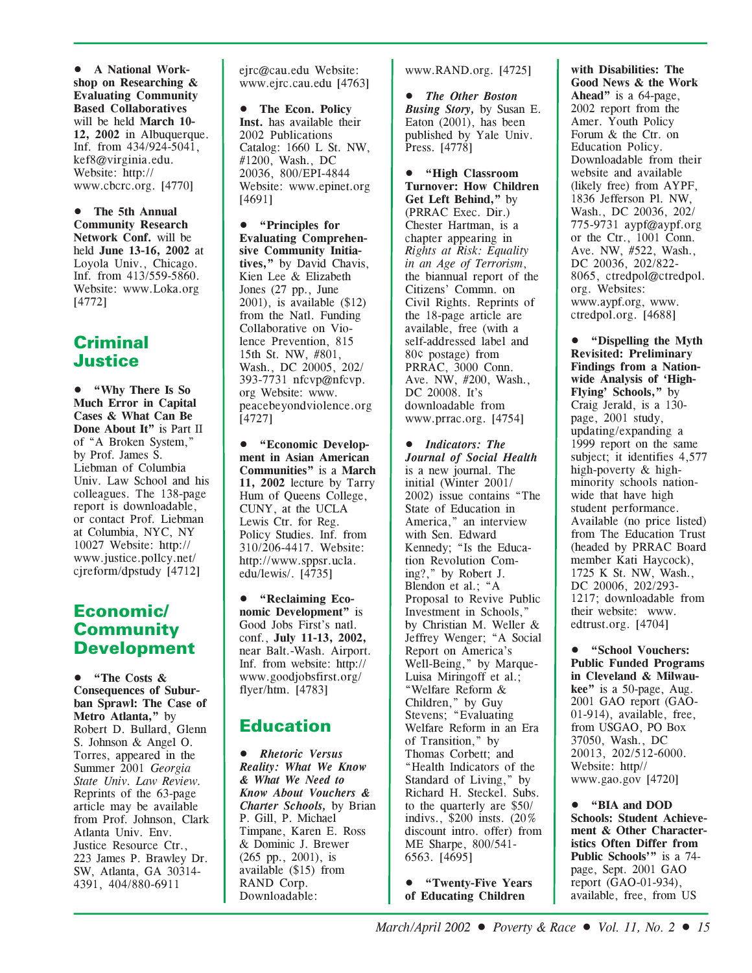• A National Workshop on Researching & Evaluating Community Based Collaboratives will be held March 10- 12, 2002 in Albuquerque. Inf. from 434/924-5041, kef8@virginia.edu. Website: http:// www.cbcrc.org. [4770]

• The 5th Annual Community Research Network Conf. will be held June 13-16, 2002 at Loyola Univ., Chicago. Inf. from 413/559-5860. Website: www.Loka.org [4772]

# **Criminal Justice**

• "Why There Is So Much Error in Capital Cases & What Can Be Done About It" is Part II of "A Broken System," by Prof. James S. Liebman of Columbia Univ. Law School and his colleagues. The 138-page report is downloadable, or contact Prof. Liebman at Columbia, NYC, NY 10027 Website: http:// www.justice.pollcy.net/ cjreform/dpstudy [4712]

# **Economic/ Community Development**

• "The Costs & Consequences of Suburban Sprawl: The Case of Metro Atlanta," by Robert D. Bullard, Glenn S. Johnson & Angel O. Torres, appeared in the Summer 2001 Georgia State Univ. Law Review. Reprints of the 63-page article may be available from Prof. Johnson, Clark Atlanta Univ. Env. Justice Resource Ctr., 223 James P. Brawley Dr. SW, Atlanta, GA 30314- 4391, 404/880-6911

ejrc@cau.edu Website: www.ejrc.cau.edu [4763]

The Econ. Policy Inst. has available their 2002 Publications Catalog: 1660 L St. NW, #1200, Wash., DC 20036, 800/EPI-4844 Website: www.epinet.org [4691]

• "Principles for Evaluating Comprehensive Community Initiatives," by David Chavis, Kien Lee & Elizabeth Jones (27 pp., June 2001), is available (\$12) from the Natl. Funding Collaborative on Violence Prevention, 815 15th St. NW, #801, Wash., DC 20005, 202/ 393-7731 nfcvp@nfcvp. org Website: www. peacebeyondviolence.org [4727]

• "Economic Development in Asian American Communities" is a March 11, 2002 lecture by Tarry Hum of Queens College, CUNY, at the UCLA Lewis Ctr. for Reg. Policy Studies. Inf. from 310/206-4417. Website: http://www.sppsr.ucla. edu/lewis/. [4735]

• "Reclaiming Economic Development" is Good Jobs First's natl. conf., July 11-13, 2002, near Balt.-Wash. Airport. Inf. from website: http:// www.goodjobsfirst.org/ flyer/htm. [4783]

# **Education**

• Rhetoric Versus Reality: What We Know & What We Need to Know About Vouchers & Charter Schools, by Brian P. Gill, P. Michael Timpane, Karen E. Ross & Dominic J. Brewer (265 pp., 2001), is available (\$15) from RAND Corp. Downloadable:

www.RAND.org. [4725]

• The Other Boston Busing Story, by Susan E. Eaton (2001), has been published by Yale Univ. Press. [4778]

• "High Classroom Turnover: How Children Get Left Behind," by (PRRAC Exec. Dir.) Chester Hartman, is a chapter appearing in Rights at Risk: Equality in an Age of Terrorism, the biannual report of the Citizens' Commn. on Civil Rights. Reprints of the 18-page article are available, free (with a self-addressed label and 80¢ postage) from PRRAC, 3000 Conn. Ave. NW, #200, Wash., DC 20008. It's downloadable from www.prrac.org. [4754]

**Indicators: The** Journal of Social Health is a new journal. The initial (Winter 2001/ 2002) issue contains "The State of Education in America," an interview with Sen. Edward Kennedy; "Is the Education Revolution Coming?," by Robert J. Blendon et al.; "A Proposal to Revive Public Investment in Schools," by Christian M. Weller & Jeffrey Wenger; "A Social Report on America's Well-Being," by Marque-Luisa Miringoff et al.; "Welfare Reform & Children," by Guy Stevens; "Evaluating Welfare Reform in an Era of Transition," by Thomas Corbett; and "Health Indicators of the Standard of Living," by Richard H. Steckel. Subs. to the quarterly are \$50/ indivs., \$200 insts. (20% discount intro. offer) from ME Sharpe, 800/541- 6563. [4695]

• "Twenty-Five Years of Educating Children

with Disabilities: The Good News & the Work Ahead" is a 64-page, 2002 report from the Amer. Youth Policy Forum & the Ctr. on Education Policy. Downloadable from their website and available (likely free) from AYPF, 1836 Jefferson Pl. NW, Wash., DC 20036, 202/ 775-9731 aypf@aypf.org or the Ctr., 1001 Conn. Ave. NW, #522, Wash., DC 20036, 202/822- 8065, ctredpol@ctredpol. org. Websites: www.aypf.org, www. ctredpol.org. [4688]

• "Dispelling the Myth Revisited: Preliminary Findings from a Nationwide Analysis of 'High-Flying' Schools," by Craig Jerald, is a 130 page, 2001 study, updating/expanding a 1999 report on the same subject; it identifies 4,577 high-poverty & highminority schools nationwide that have high student performance. Available (no price listed) from The Education Trust (headed by PRRAC Board member Kati Haycock), 1725 K St. NW, Wash., DC 20006, 202/293- 1217; downloadable from their website: www. edtrust.org. [4704]

• "School Vouchers: Public Funded Programs in Cleveland & Milwaukee" is a 50-page, Aug. 2001 GAO report (GAO-01-914), available, free, from USGAO, PO Box 37050, Wash., DC 20013, 202/512-6000. Website: http// www.gao.gov [4720]

• "BIA and DOD Schools: Student Achievement & Other Characteristics Often Differ from Public Schools'" is a 74page, Sept. 2001 GAO report (GAO-01-934), available, free, from US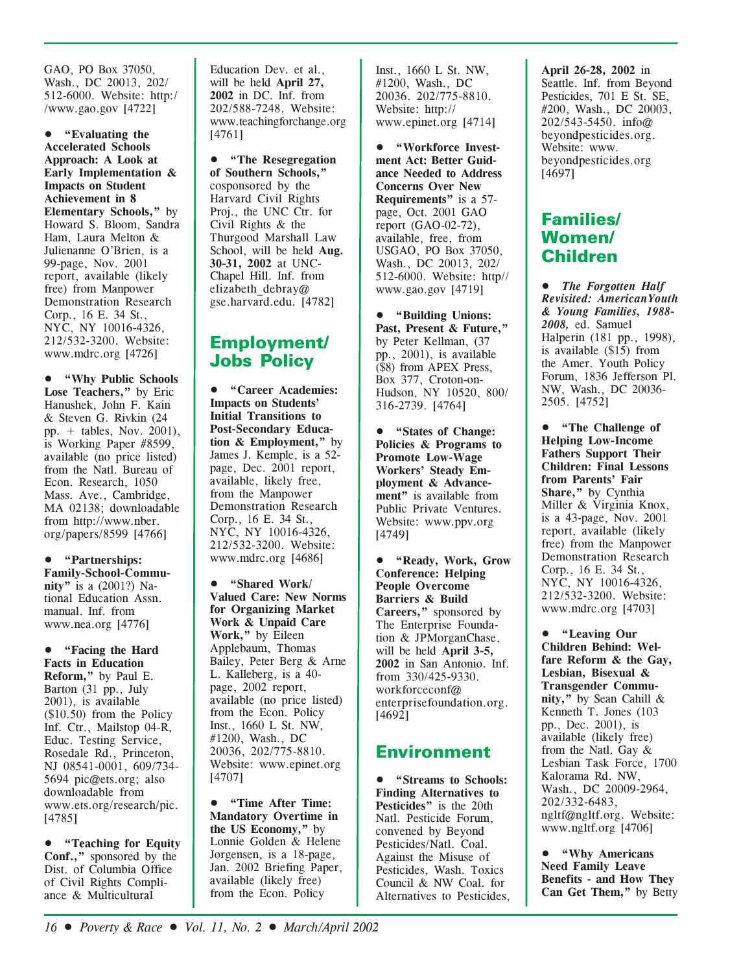GAO, PO Box 37050, Wash., DC 20013, 202/ 512-6000. Website: http:/ /www.gao.gov [4722]

• "Evaluating the Accelerated Schools Approach: A Look at Early Implementation & Impacts on Student Achievement in 8 Elementary Schools," by Howard S. Bloom, Sandra Ham, Laura Melton & Julienanne O'Brien, is a 99-page, Nov. 2001 report, available (likely free) from Manpower Demonstration Research Corp., 16 E. 34 St., NYC, NY 10016-4326, 212/532-3200. Website: www.mdrc.org [4726]

• "Why Public Schools Lose Teachers," by Eric Hanushek, John F. Kain & Steven G. Rivkin (24 pp.  $+$  tables, Nov. 2001), is Working Paper #8599, available (no price listed) from the Natl. Bureau of Econ. Research, 1050 Mass. Ave., Cambridge, MA 02138; downloadable from http://www.nber. org/papers/8599 [4766]

• "Partnerships: Family-School-Community" is a  $(2001?)$  National Education Assn. manual. Inf. from www.nea.org [4776]

• "Facing the Hard Facts in Education Reform," by Paul E. Barton (31 pp., July 2001), is available (\$10.50) from the Policy Inf. Ctr., Mailstop 04-R, Educ. Testing Service, Rosedale Rd., Princeton, NJ 08541-0001, 609/734- 5694 pic@ets.org; also downloadable from www.ets.org/research/pic. [4785]

• "Teaching for Equity Conf.," sponsored by the Dist. of Columbia Office of Civil Rights Compliance & Multicultural

Education Dev. et al., will be held April 27, 2002 in DC. Inf. from 202/588-7248. Website: www.teachingforchange.org [4761]

• "The Resegregation of Southern Schools," cosponsored by the Harvard Civil Rights Proj., the UNC Ctr. for Civil Rights & the Thurgood Marshall Law School, will be held Aug. 30-31, 2002 at UNC-Chapel Hill. Inf. from elizabeth\_debray@ gse.harvard.edu. [4782]

# **Employment/ Jobs Policy**

• "Career Academies: Impacts on Students' Initial Transitions to Post-Secondary Education & Employment," by James J. Kemple, is a 52 page, Dec. 2001 report, available, likely free, from the Manpower Demonstration Research Corp., 16 E. 34 St., NYC, NY 10016-4326, 212/532-3200. Website: www.mdrc.org [4686]

• "Shared Work/ Valued Care: New Norms for Organizing Market Work & Unpaid Care Work," by Eileen Applebaum, Thomas Bailey, Peter Berg & Arne L. Kalleberg, is a 40 page, 2002 report, available (no price listed) from the Econ. Policy Inst., 1660 L St. NW, #1200, Wash., DC 20036, 202/775-8810. Website: www.epinet.org [4707]

• "Time After Time: Mandatory Overtime in the US Economy," by Lonnie Golden & Helene Jorgensen, is a 18-page, Jan. 2002 Briefing Paper, available (likely free) from the Econ. Policy

Inst., 1660 L St. NW, #1200, Wash., DC 20036. 202/775-8810. Website: http:// www.epinet.org [4714]

• "Workforce Investment Act: Better Guidance Needed to Address Concerns Over New Requirements" is a 57page, Oct. 2001 GAO report (GAO-02-72), available, free, from USGAO, PO Box 37050, Wash., DC 20013, 202/ 512-6000. Website: http// www.gao.gov [4719]

• "Building Unions: Past, Present & Future," by Peter Kellman, (37 pp., 2001), is available (\$8) from APEX Press, Box 377, Croton-on-Hudson, NY 10520, 800/ 316-2739. [4764]

• "States of Change: Policies & Programs to Promote Low-Wage Workers' Steady Employment & Advancement" is available from Public Private Ventures. Website: www.ppv.org [4749]

• "Ready, Work, Grow Conference: Helping People Overcome Barriers & Build Careers," sponsored by The Enterprise Foundation & JPMorganChase, will be held April 3-5, 2002 in San Antonio. Inf. from 330/425-9330. workforceconf@ enterprisefoundation.org. [4692]

# **Environment**

• "Streams to Schools: Finding Alternatives to Pesticides" is the 20th Natl. Pesticide Forum, convened by Beyond Pesticides/Natl. Coal. Against the Misuse of Pesticides, Wash. Toxics Council & NW Coal. for Alternatives to Pesticides, April 26-28, 2002 in Seattle. Inf. from Beyond Pesticides, 701 E St. SE, #200, Wash., DC 20003, 202/543-5450. info@ beyondpesticides.org. Website: www. beyondpesticides.org [4697]

# **Families/ Women/ Children**

• The Forgotten Half Revisited: AmericanYouth & Young Families, 1988- 2008, ed. Samuel Halperin (181 pp., 1998), is available (\$15) from the Amer. Youth Policy Forum, 1836 Jefferson Pl. NW, Wash., DC 20036- 2505. [4752]

• "The Challenge of Helping Low-Income Fathers Support Their Children: Final Lessons from Parents' Fair Share," by Cynthia Miller & Virginia Knox, is a 43-page, Nov. 2001 report, available (likely free) from the Manpower Demonstration Research Corp., 16 E. 34 St., NYC, NY 10016-4326, 212/532-3200. Website: www.mdrc.org [4703]

• "Leaving Our Children Behind: Welfare Reform & the Gay, Lesbian, Bisexual & Transgender Community," by Sean Cahill & Kenneth T. Jones (103 pp., Dec. 2001), is available (likely free) from the Natl. Gay & Lesbian Task Force, 1700 Kalorama Rd. NW, Wash., DC 20009-2964, 202/332-6483, ngltf@ngltf.org. Website: www.ngltf.org [4706]

• "Why Americans Need Family Leave Benefits - and How They Can Get Them," by Betty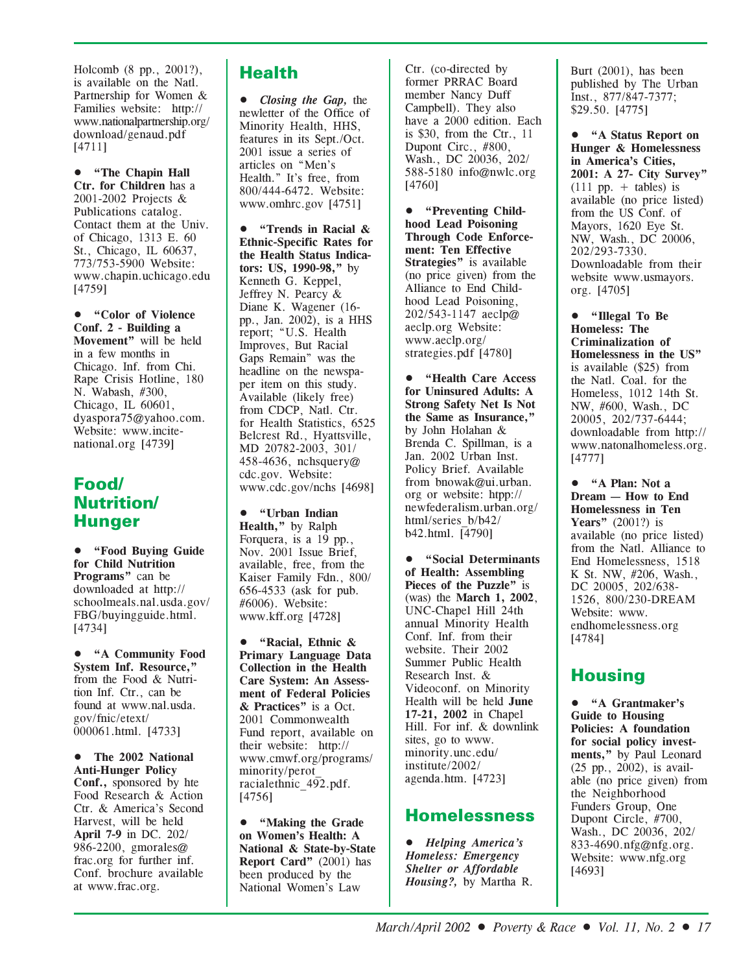Holcomb (8 pp., 2001?), is available on the Natl. Partnership for Women & Families website: http:// www.nationalpartnership.org/ download/genaud.pdf [4711]

• "The Chapin Hall Ctr. for Children has a 2001-2002 Projects & Publications catalog. Contact them at the Univ. of Chicago, 1313 E. 60 St., Chicago, IL 60637, 773/753-5900 Website: www.chapin.uchicago.edu [4759]

• "Color of Violence Conf. 2 - Building a Movement" will be held in a few months in Chicago. Inf. from Chi. Rape Crisis Hotline, 180 N. Wabash, #300, Chicago, IL 60601, dyaspora75@yahoo.com. Website: www.incitenational.org [4739]

# **Food/ Nutrition/ Hunger**

• "Food Buying Guide for Child Nutrition Programs" can be downloaded at http:// schoolmeals.nal.usda.gov/ FBG/buyingguide.html. [4734]

• "A Community Food System Inf. Resource," from the Food & Nutrition Inf. Ctr., can be found at www.nal.usda. gov/fnic/etext/ 000061.html. [4733]

• The 2002 National Anti-Hunger Policy Conf., sponsored by hte Food Research & Action Ctr. & America's Second Harvest, will be held April 7-9 in DC. 202/ 986-2200, gmorales@ frac.org for further inf. Conf. brochure available at www.frac.org.

# **Health**

• Closing the Gap, the newletter of the Office of Minority Health, HHS, features in its Sept./Oct. 2001 issue a series of articles on "Men's Health." It's free, from 800/444-6472. Website: www.omhrc.gov [4751]

• "Trends in Racial & Ethnic-Specific Rates for the Health Status Indicators: US, 1990-98," by Kenneth G. Keppel, Jeffrey N. Pearcy & Diane K. Wagener (16 pp., Jan. 2002), is a HHS report; "U.S. Health Improves, But Racial Gaps Remain" was the headline on the newspaper item on this study. Available (likely free) from CDCP, Natl. Ctr. for Health Statistics, 6525 Belcrest Rd., Hyattsville, MD 20782-2003, 301/ 458-4636, nchsquery@ cdc.gov. Website: www.cdc.gov/nchs [4698]

• "Urban Indian Health," by Ralph Forquera, is a 19 pp., Nov. 2001 Issue Brief, available, free, from the Kaiser Family Fdn., 800/ 656-4533 (ask for pub. #6006). Website: www.kff.org [4728]

• "Racial, Ethnic & Primary Language Data Collection in the Health Care System: An Assessment of Federal Policies & Practices" is a Oct. 2001 Commonwealth Fund report, available on their website: http:// www.cmwf.org/programs/ minority/perot\_ racialethnic\_492.pdf. [4756]

• "Making the Grade on Women's Health: A National & State-by-State Report Card" (2001) has been produced by the National Women's Law

Ctr. (co-directed by former PRRAC Board member Nancy Duff Campbell). They also have a 2000 edition. Each is \$30, from the Ctr., 11 Dupont Circ., #800, Wash., DC 20036, 202/ 588-5180 info@nwlc.org [4760]

• "Preventing Childhood Lead Poisoning Through Code Enforcement: Ten Effective Strategies" is available (no price given) from the Alliance to End Childhood Lead Poisoning, 202/543-1147 aeclp@ aeclp.org Website: www.aeclp.org/ strategies.pdf [4780]

• "Health Care Access for Uninsured Adults: A Strong Safety Net Is Not the Same as Insurance," by John Holahan & Brenda C. Spillman, is a Jan. 2002 Urban Inst. Policy Brief. Available from bnowak@ui.urban. org or website: htpp:// newfederalism.urban.org/ html/series\_b/b42/  $b42.html.$  [4790]

• "Social Determinants of Health: Assembling Pieces of the Puzzle" is (was) the March 1, 2002, UNC-Chapel Hill 24th annual Minority Health Conf. Inf. from their website. Their 2002 Summer Public Health Research Inst. & Videoconf. on Minority Health will be held June 17-21, 2002 in Chapel Hill. For inf. & downlink sites, go to www. minority.unc.edu/ institute/2002/ agenda.htm. [4723]

## **Homelessness**

• Helping America's Homeless: Emergency Shelter or Affordable Housing?, by Martha R. Burt (2001), has been published by The Urban Inst., 877/847-7377; \$29.50. [4775]

• "A Status Report on Hunger & Homelessness in America's Cities, 2001: A 27- City Survey"  $(111 \text{ pp.} + \text{tables})$  is available (no price listed) from the US Conf. of Mayors, 1620 Eye St. NW, Wash., DC 20006, 202/293-7330. Downloadable from their website www.usmayors. org. [4705]

• "Illegal To Be Homeless: The Criminalization of Homelessness in the US" is available (\$25) from the Natl. Coal. for the Homeless, 1012 14th St. NW, #600, Wash., DC 20005, 202/737-6444; downloadable from http:// www.natonalhomeless.org. [4777]

• "A Plan: Not a Dream — How to End Homelessness in Ten Years" (2001?) is available (no price listed) from the Natl. Alliance to End Homelessness, 1518 K St. NW, #206, Wash., DC 20005, 202/638-1526, 800/230-DREAM Website: www. endhomelessness.org [4784]

# **Housing**

• "A Grantmaker's Guide to Housing Policies: A foundation for social policy investments," by Paul Leonard (25 pp., 2002), is available (no price given) from the Neighborhood Funders Group, One Dupont Circle, #700, Wash., DC 20036, 202/ 833-4690.nfg@nfg.org. Website: www.nfg.org [4693]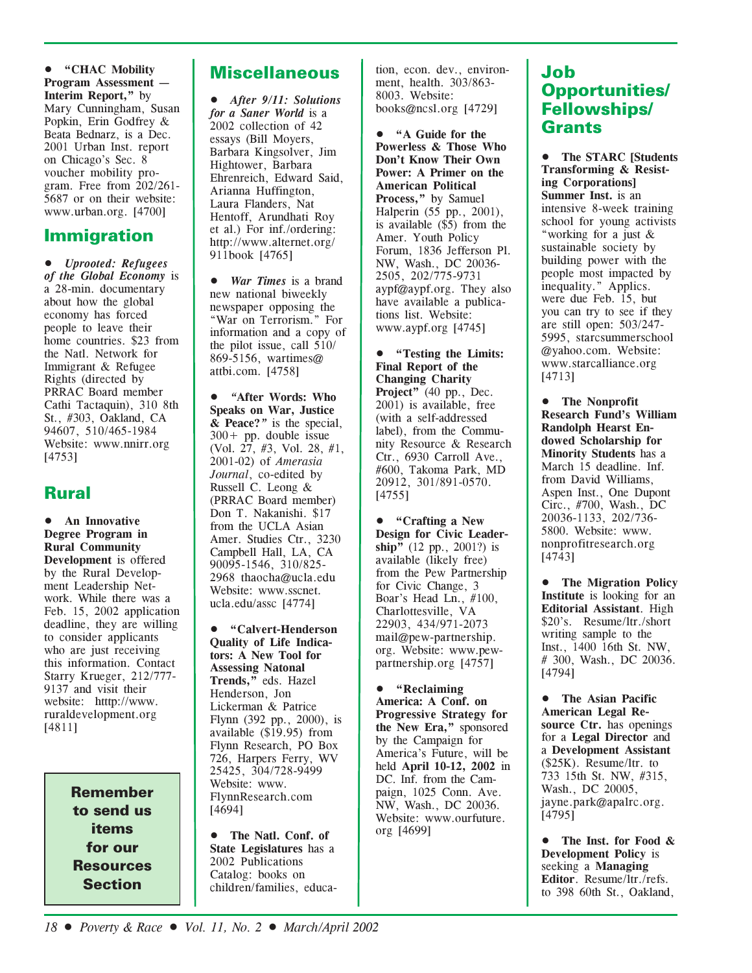• "CHAC Mobility Program Assessment — Interim Report," by Mary Cunningham, Susan Popkin, Erin Godfrey & Beata Bednarz, is a Dec. 2001 Urban Inst. report on Chicago's Sec. 8 voucher mobility program. Free from 202/261- 5687 or on their website: www.urban.org. [4700]

# **Immigration**

• Uprooted: Refugees of the Global Economy is a 28-min. documentary about how the global economy has forced people to leave their home countries. \$23 from the Natl. Network for Immigrant & Refugee Rights (directed by PRRAC Board member Cathi Tactaquin), 310 8th St., #303, Oakland, CA 94607, 510/465-1984 Website: www.nnirr.org [4753]

# **Rural**

• An Innovative Degree Program in Rural Community Development is offered by the Rural Development Leadership Network. While there was a Feb. 15, 2002 application deadline, they are willing to consider applicants who are just receiving this information. Contact Starry Krueger, 212/777- 9137 and visit their website: htttp://www. ruraldevelopment.org [4811]

> **Remember to send us items for our Resources Section**

# **Miscellaneous**

• After 9/11: Solutions for a Saner World is a 2002 collection of 42 essays (Bill Moyers, Barbara Kingsolver, Jim Hightower, Barbara Ehrenreich, Edward Said, Arianna Huffington, Laura Flanders, Nat Hentoff, Arundhati Roy et al.) For inf./ordering: http://www.alternet.org/ 911book [4765]

• War Times is a brand new national biweekly newspaper opposing the "War on Terrorism." For information and a copy of the pilot issue, call 510/ 869-5156, wartimes@ attbi.com. [4758]

• "After Words: Who Speaks on War, Justice & Peace?" is the special, 300+ pp. double issue (Vol. 27, #3, Vol. 28, #1, 2001-02) of Amerasia Journal, co-edited by Russell C. Leong & (PRRAC Board member) Don T. Nakanishi. \$17 from the UCLA Asian Amer. Studies Ctr., 3230 Campbell Hall, LA, CA 90095-1546, 310/825- 2968 thaocha@ucla.edu Website: www.sscnet. ucla.edu/assc [4774]

• "Calvert-Henderson Quality of Life Indicators: A New Tool for Assessing Natonal Trends," eds. Hazel Henderson, Jon Lickerman & Patrice Flynn (392 pp., 2000), is available (\$19.95) from Flynn Research, PO Box 726, Harpers Ferry, WV 25425, 304/728-9499 Website: www. FlynnResearch.com [4694]

• The Natl. Conf. of State Legislatures has a 2002 Publications Catalog: books on children/families, educa-

tion, econ. dev., environment, health. 303/863- 8003. Website: books@ncsl.org [4729]

• "A Guide for the Powerless & Those Who Don't Know Their Own Power: A Primer on the American Political Process," by Samuel Halperin (55 pp., 2001), is available (\$5) from the Amer. Youth Policy Forum, 1836 Jefferson Pl. NW, Wash., DC 20036- 2505, 202/775-9731 aypf@aypf.org. They also have available a publications list. Website: www.aypf.org [4745]

• "Testing the Limits: Final Report of the Changing Charity Project" (40 pp., Dec. 2001) is available, free (with a self-addressed label), from the Community Resource & Research Ctr., 6930 Carroll Ave., #600, Takoma Park, MD 20912, 301/891-0570. [4755]

• "Crafting a New Design for Civic Leadership" (12 pp., 2001?) is available (likely free) from the Pew Partnership for Civic Change, 3 Boar's Head Ln., #100, Charlottesville, VA 22903, 434/971-2073 mail@pew-partnership. org. Website: www.pewpartnership.org [4757]

• "Reclaiming America: A Conf. on Progressive Strategy for the New Era," sponsored by the Campaign for America's Future, will be held April 10-12, 2002 in DC. Inf. from the Campaign, 1025 Conn. Ave. NW, Wash., DC 20036. Website: www.ourfuture. org [4699]

# **Job Opportunities/ Fellowships/ Grants**

• The STARC [Students Transforming & Resisting Corporations] Summer Inst. is an intensive 8-week training school for young activists "working for a just & sustainable society by building power with the people most impacted by inequality." Applics. were due Feb. 15, but you can try to see if they are still open: 503/247- 5995, starcsummerschool @yahoo.com. Website: www.starcalliance.org [4713]

• The Nonprofit Research Fund's William Randolph Hearst Endowed Scholarship for Minority Students has a March 15 deadline. Inf. from David Williams, Aspen Inst., One Dupont Circ., #700, Wash., DC 20036-1133, 202/736- 5800. Website: www. nonprofitresearch.org [4743]

• The Migration Policy Institute is looking for an Editorial Assistant. High \$20's. Resume/ltr./short writing sample to the Inst., 1400 16th St. NW, # 300, Wash., DC 20036. [4794]

• The Asian Pacific American Legal Resource Ctr. has openings for a Legal Director and a Development Assistant (\$25K). Resume/ltr. to 733 15th St. NW, #315, Wash., DC 20005, jayne.park@apalrc.org. [4795]

• The Inst. for Food & Development Policy is seeking a Managing Editor. Resume/ltr./refs. to 398 60th St., Oakland,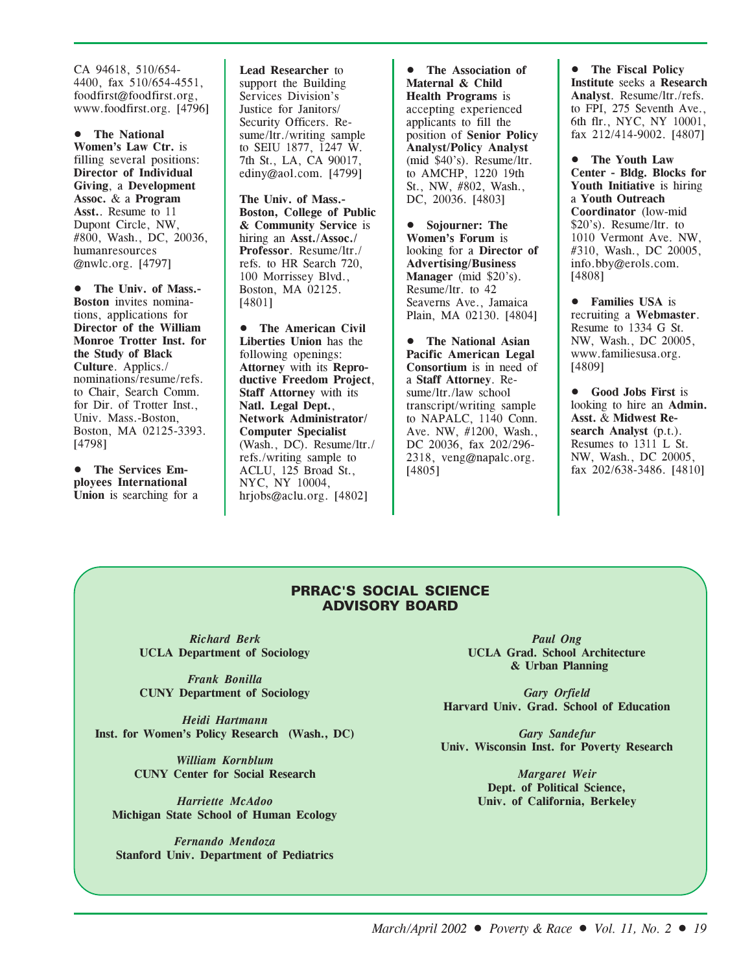CA 94618, 510/654- 4400, fax 510/654-4551, foodfirst@foodfirst.org, www.foodfirst.org. [4796]

• The National Women's Law Ctr. is filling several positions: Director of Individual Giving, a Development Assoc. & a Program Asst.. Resume to 11 Dupont Circle, NW, #800, Wash., DC, 20036, humanresources @nwlc.org. [4797]

• The Univ. of Mass.- Boston invites nominations, applications for Director of the William Monroe Trotter Inst. for the Study of Black Culture. Applics./ nominations/resume/refs. to Chair, Search Comm. for Dir. of Trotter Inst., Univ. Mass.-Boston, Boston, MA 02125-3393. [4798]

• The Services Employees International Union is searching for a

Lead Researcher to support the Building Services Division's Justice for Janitors/ Security Officers. Resume/ltr./writing sample to SEIU 1877, 1247 W. 7th St., LA, CA 90017, ediny@aol.com. [4799]

The Univ. of Mass.- Boston, College of Public & Community Service is hiring an Asst./Assoc./ Professor. Resume/ltr./ refs. to HR Search 720, 100 Morrissey Blvd., Boston, MA 02125. [4801]

• The American Civil Liberties Union has the following openings: Attorney with its Reproductive Freedom Project, Staff Attorney with its Natl. Legal Dept., Network Administrator/ Computer Specialist (Wash., DC). Resume/ltr./ refs./writing sample to ACLU, 125 Broad St., NYC, NY 10004, hrjobs@aclu.org. [4802]

• The Association of Maternal & Child Health Programs is accepting experienced applicants to fill the position of Senior Policy Analyst/Policy Analyst (mid \$40's). Resume/ltr. to AMCHP, 1220 19th St., NW, #802, Wash., DC, 20036. [4803]

Sojourner: The Women's Forum is looking for a Director of Advertising/Business Manager (mid \$20's). Resume/ltr. to 42 Seaverns Ave., Jamaica Plain, MA 02130. [4804]

The National Asian Pacific American Legal Consortium is in need of a Staff Attorney. Resume/ltr./law school transcript/writing sample to NAPALC, 1140 Conn. Ave. NW, #1200, Wash., DC 20036, fax 202/296- 2318, veng@napalc.org. [4805]

• The Fiscal Policy Institute seeks a Research Analyst. Resume/ltr./refs. to FPI, 275 Seventh Ave., 6th flr., NYC, NY 10001, fax 212/414-9002. [4807]

The Youth Law Center - Bldg. Blocks for Youth Initiative is hiring a Youth Outreach Coordinator (low-mid \$20's). Resume/ltr. to 1010 Vermont Ave. NW, #310, Wash., DC 20005, info.bby@erols.com. [4808]

• Families USA is recruiting a Webmaster. Resume to 1334 G St. NW, Wash., DC 20005, www.familiesusa.org. [4809]

• Good Jobs First is looking to hire an Admin. Asst. & Midwest Research Analyst (p.t.). Resumes to 1311 L St. NW, Wash., DC 20005, fax 202/638-3486. [4810]

#### **PRRAC'S SOCIAL SCIENCE ADVISORY BOARD**

Richard Berk UCLA Department of Sociology

Frank Bonilla CUNY Department of Sociology

Heidi Hartmann Inst. for Women's Policy Research (Wash., DC)

> William Kornblum CUNY Center for Social Research

Harriette McAdoo Michigan State School of Human Ecology

Fernando Mendoza Stanford Univ. Department of Pediatrics

Paul Ong UCLA Grad. School Architecture & Urban Planning

Gary Orfield Harvard Univ. Grad. School of Education

Gary Sandefur Univ. Wisconsin Inst. for Poverty Research

> Margaret Weir Dept. of Political Science, Univ. of California, Berkeley